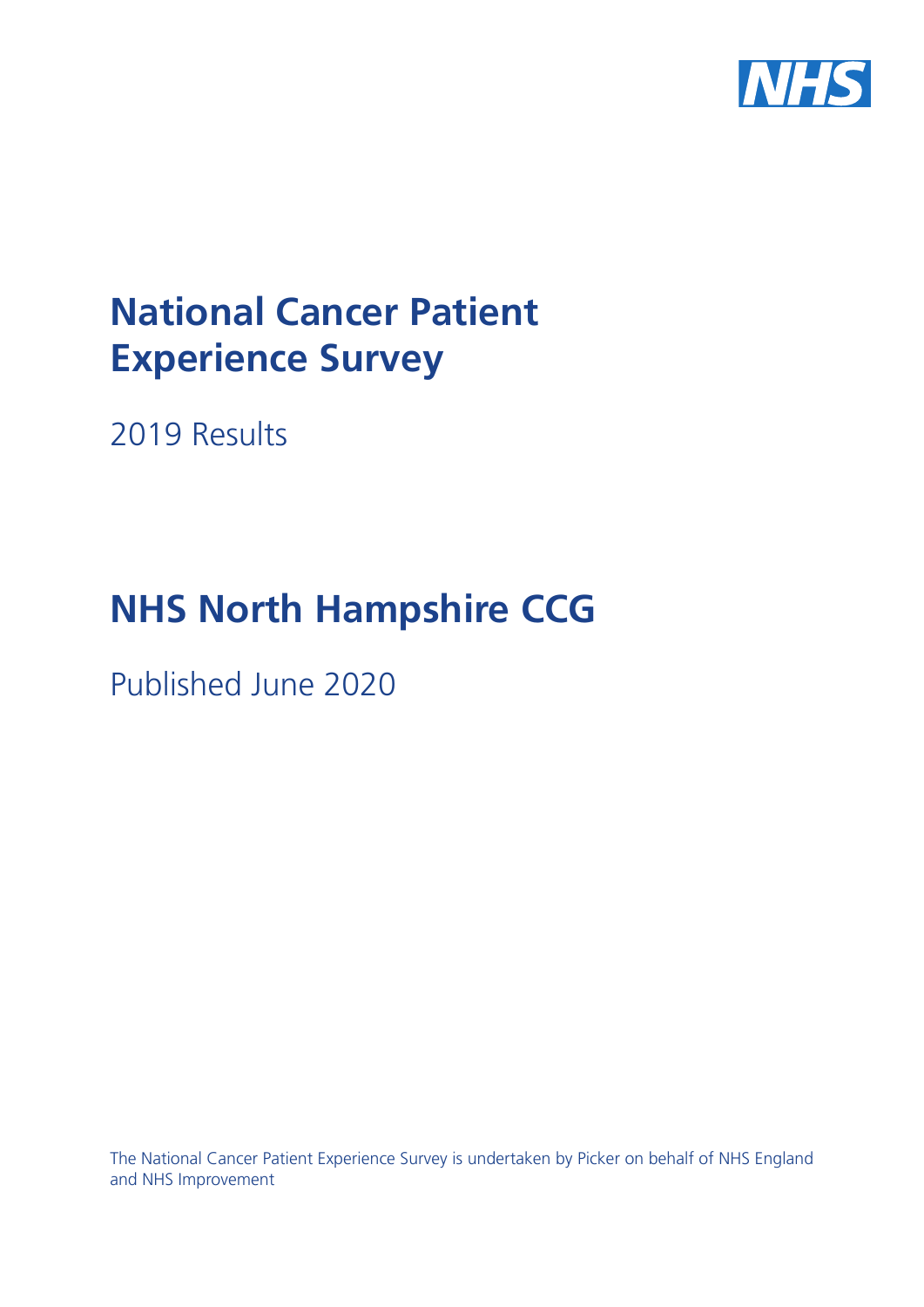

# **National Cancer Patient Experience Survey**

2019 Results

# **NHS North Hampshire CCG**

Published June 2020

The National Cancer Patient Experience Survey is undertaken by Picker on behalf of NHS England and NHS Improvement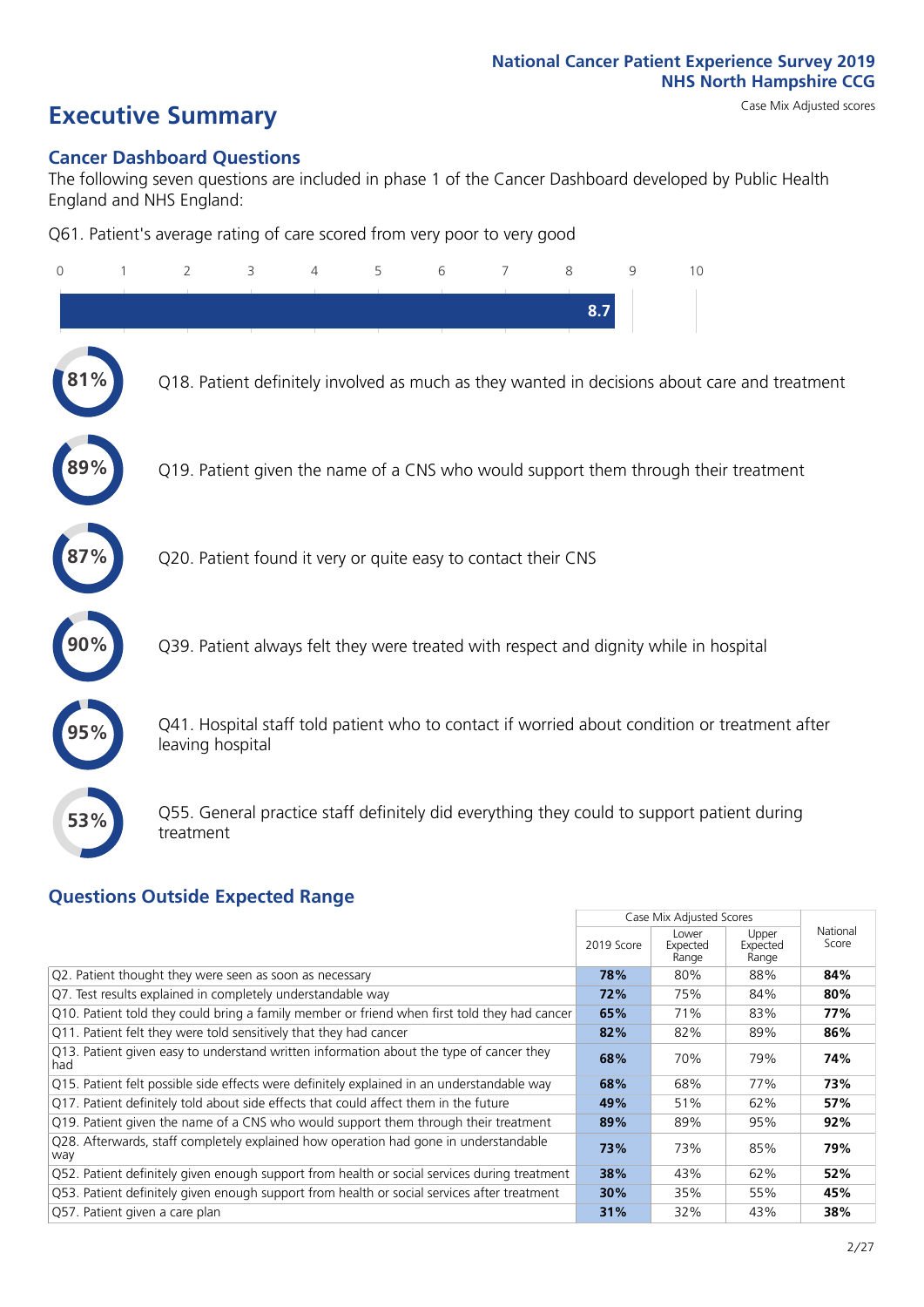# **Executive Summary** Case Mix Adjusted scores

#### **Cancer Dashboard Questions**

The following seven questions are included in phase 1 of the Cancer Dashboard developed by Public Health England and NHS England:

Q61. Patient's average rating of care scored from very poor to very good

| $\Omega$ | 2                                                             | 3 | $\overline{4}$ | 5 | 6 | 7 | 8   | 9 | 10                                                                                            |
|----------|---------------------------------------------------------------|---|----------------|---|---|---|-----|---|-----------------------------------------------------------------------------------------------|
|          |                                                               |   |                |   |   |   | 8.7 |   |                                                                                               |
| $\%$     |                                                               |   |                |   |   |   |     |   | Q18. Patient definitely involved as much as they wanted in decisions about care and treatment |
| 89%      |                                                               |   |                |   |   |   |     |   | Q19. Patient given the name of a CNS who would support them through their treatment           |
|          | Q20. Patient found it very or quite easy to contact their CNS |   |                |   |   |   |     |   |                                                                                               |
|          |                                                               |   |                |   |   |   |     |   | Q39. Patient always felt they were treated with respect and dignity while in hospital         |
|          | leaving hospital                                              |   |                |   |   |   |     |   | Q41. Hospital staff told patient who to contact if worried about condition or treatment after |
| 53%      | treatment                                                     |   |                |   |   |   |     |   | Q55. General practice staff definitely did everything they could to support patient during    |

### **Questions Outside Expected Range**

| 2019 Score | Lower<br>Expected<br>Range | Upper<br>Expected<br>Range | National<br>Score        |
|------------|----------------------------|----------------------------|--------------------------|
| 78%        | 80%                        | 88%                        | 84%                      |
| 72%        | 75%                        | 84%                        | 80%                      |
| 65%        | 71%                        | 83%                        | 77%                      |
| 82%        | 82%                        | 89%                        | 86%                      |
| 68%        | 70%                        | 79%                        | 74%                      |
| 68%        | 68%                        | 77%                        | 73%                      |
| 49%        | 51%                        | 62%                        | 57%                      |
| 89%        | 89%                        | 95%                        | 92%                      |
| 73%        | 73%                        | 85%                        | 79%                      |
| 38%        | 43%                        | 62%                        | 52%                      |
| 30%        | 35%                        | 55%                        | 45%                      |
| 31%        | 32%                        | 43%                        | 38%                      |
|            |                            |                            | Case Mix Adjusted Scores |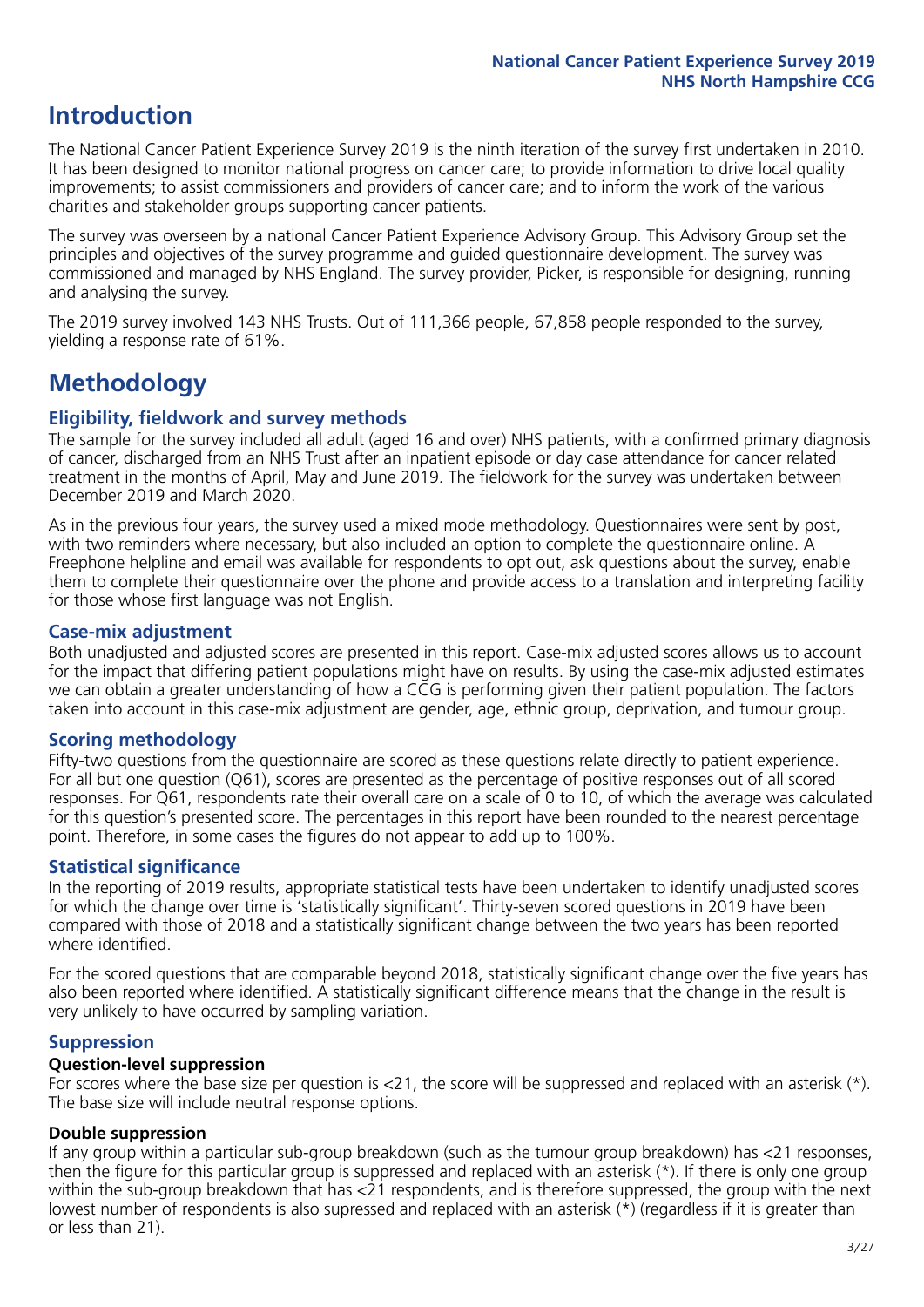## **Introduction**

The National Cancer Patient Experience Survey 2019 is the ninth iteration of the survey first undertaken in 2010. It has been designed to monitor national progress on cancer care; to provide information to drive local quality improvements; to assist commissioners and providers of cancer care; and to inform the work of the various charities and stakeholder groups supporting cancer patients.

The survey was overseen by a national Cancer Patient Experience Advisory Group. This Advisory Group set the principles and objectives of the survey programme and guided questionnaire development. The survey was commissioned and managed by NHS England. The survey provider, Picker, is responsible for designing, running and analysing the survey.

The 2019 survey involved 143 NHS Trusts. Out of 111,366 people, 67,858 people responded to the survey, yielding a response rate of 61%.

# **Methodology**

#### **Eligibility, eldwork and survey methods**

The sample for the survey included all adult (aged 16 and over) NHS patients, with a confirmed primary diagnosis of cancer, discharged from an NHS Trust after an inpatient episode or day case attendance for cancer related treatment in the months of April, May and June 2019. The fieldwork for the survey was undertaken between December 2019 and March 2020.

As in the previous four years, the survey used a mixed mode methodology. Questionnaires were sent by post, with two reminders where necessary, but also included an option to complete the questionnaire online. A Freephone helpline and email was available for respondents to opt out, ask questions about the survey, enable them to complete their questionnaire over the phone and provide access to a translation and interpreting facility for those whose first language was not English.

#### **Case-mix adjustment**

Both unadjusted and adjusted scores are presented in this report. Case-mix adjusted scores allows us to account for the impact that differing patient populations might have on results. By using the case-mix adjusted estimates we can obtain a greater understanding of how a CCG is performing given their patient population. The factors taken into account in this case-mix adjustment are gender, age, ethnic group, deprivation, and tumour group.

#### **Scoring methodology**

Fifty-two questions from the questionnaire are scored as these questions relate directly to patient experience. For all but one question (Q61), scores are presented as the percentage of positive responses out of all scored responses. For Q61, respondents rate their overall care on a scale of 0 to 10, of which the average was calculated for this question's presented score. The percentages in this report have been rounded to the nearest percentage point. Therefore, in some cases the figures do not appear to add up to 100%.

#### **Statistical significance**

In the reporting of 2019 results, appropriate statistical tests have been undertaken to identify unadjusted scores for which the change over time is 'statistically significant'. Thirty-seven scored questions in 2019 have been compared with those of 2018 and a statistically significant change between the two years has been reported where identified.

For the scored questions that are comparable beyond 2018, statistically significant change over the five years has also been reported where identified. A statistically significant difference means that the change in the result is very unlikely to have occurred by sampling variation.

#### **Suppression**

#### **Question-level suppression**

For scores where the base size per question is  $<$ 21, the score will be suppressed and replaced with an asterisk (\*). The base size will include neutral response options.

#### **Double suppression**

If any group within a particular sub-group breakdown (such as the tumour group breakdown) has <21 responses, then the figure for this particular group is suppressed and replaced with an asterisk (\*). If there is only one group within the sub-group breakdown that has <21 respondents, and is therefore suppressed, the group with the next lowest number of respondents is also supressed and replaced with an asterisk (\*) (regardless if it is greater than or less than 21).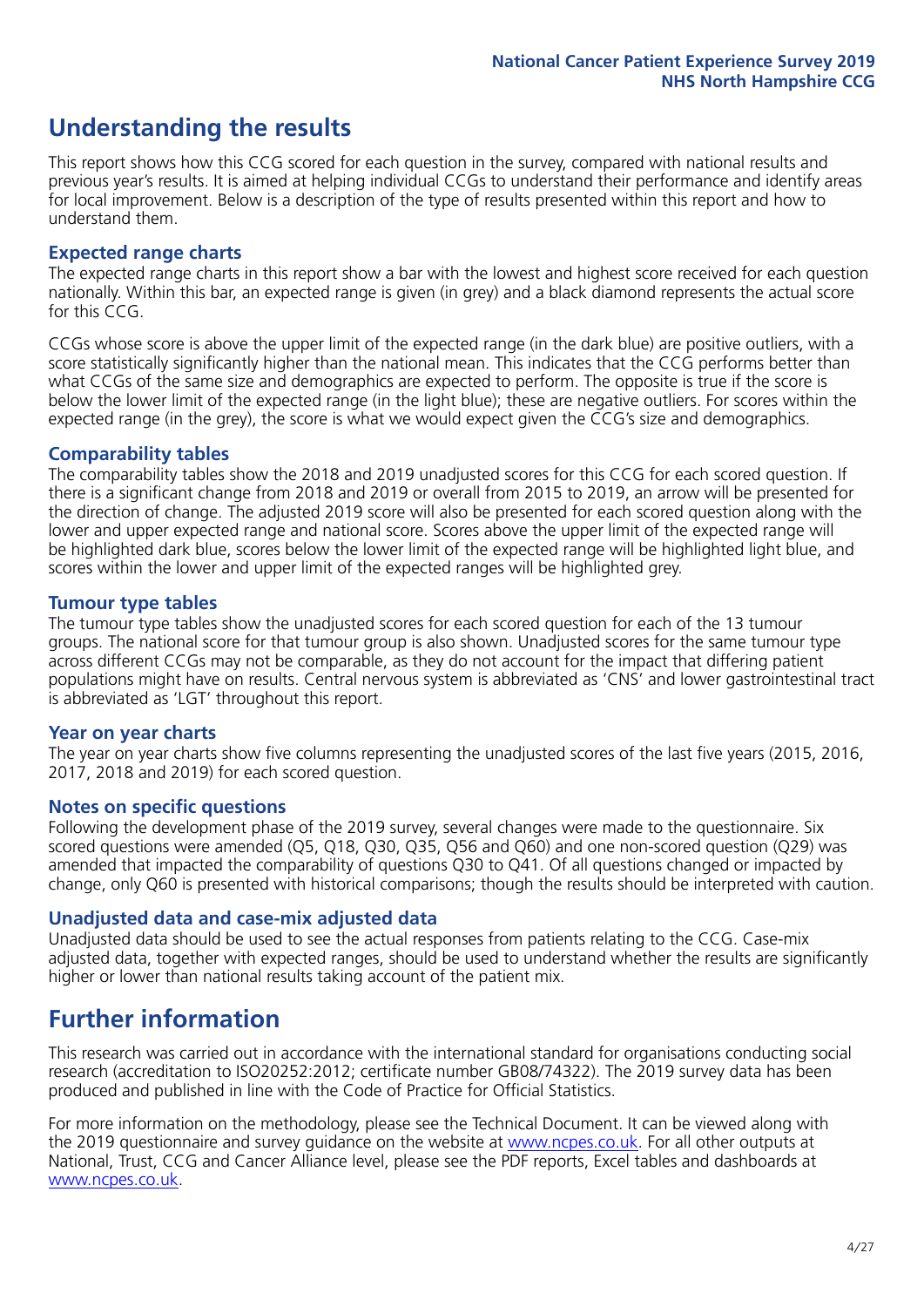# **Understanding the results**

This report shows how this CCG scored for each question in the survey, compared with national results and previous year's results. It is aimed at helping individual CCGs to understand their performance and identify areas for local improvement. Below is a description of the type of results presented within this report and how to understand them.

#### **Expected range charts**

The expected range charts in this report show a bar with the lowest and highest score received for each question nationally. Within this bar, an expected range is given (in grey) and a black diamond represents the actual score for this CCG.

CCGs whose score is above the upper limit of the expected range (in the dark blue) are positive outliers, with a score statistically significantly higher than the national mean. This indicates that the CCG performs better than what CCGs of the same size and demographics are expected to perform. The opposite is true if the score is below the lower limit of the expected range (in the light blue); these are negative outliers. For scores within the expected range (in the grey), the score is what we would expect given the CCG's size and demographics.

#### **Comparability tables**

The comparability tables show the 2018 and 2019 unadjusted scores for this CCG for each scored question. If there is a significant change from 2018 and 2019 or overall from 2015 to 2019, an arrow will be presented for the direction of change. The adjusted 2019 score will also be presented for each scored question along with the lower and upper expected range and national score. Scores above the upper limit of the expected range will be highlighted dark blue, scores below the lower limit of the expected range will be highlighted light blue, and scores within the lower and upper limit of the expected ranges will be highlighted grey.

#### **Tumour type tables**

The tumour type tables show the unadjusted scores for each scored question for each of the 13 tumour groups. The national score for that tumour group is also shown. Unadjusted scores for the same tumour type across different CCGs may not be comparable, as they do not account for the impact that differing patient populations might have on results. Central nervous system is abbreviated as 'CNS' and lower gastrointestinal tract is abbreviated as 'LGT' throughout this report.

#### **Year on year charts**

The year on year charts show five columns representing the unadjusted scores of the last five years (2015, 2016, 2017, 2018 and 2019) for each scored question.

#### **Notes on specific questions**

Following the development phase of the 2019 survey, several changes were made to the questionnaire. Six scored questions were amended (Q5, Q18, Q30, Q35, Q56 and Q60) and one non-scored question (Q29) was amended that impacted the comparability of questions Q30 to Q41. Of all questions changed or impacted by change, only Q60 is presented with historical comparisons; though the results should be interpreted with caution.

#### **Unadjusted data and case-mix adjusted data**

Unadjusted data should be used to see the actual responses from patients relating to the CCG. Case-mix adjusted data, together with expected ranges, should be used to understand whether the results are significantly higher or lower than national results taking account of the patient mix.

### **Further information**

This research was carried out in accordance with the international standard for organisations conducting social research (accreditation to ISO20252:2012; certificate number GB08/74322). The 2019 survey data has been produced and published in line with the Code of Practice for Official Statistics.

For more information on the methodology, please see the Technical Document. It can be viewed along with the 2019 questionnaire and survey quidance on the website at [www.ncpes.co.uk](https://www.ncpes.co.uk/supporting-documents). For all other outputs at National, Trust, CCG and Cancer Alliance level, please see the PDF reports, Excel tables and dashboards at [www.ncpes.co.uk.](https://www.ncpes.co.uk/current-results)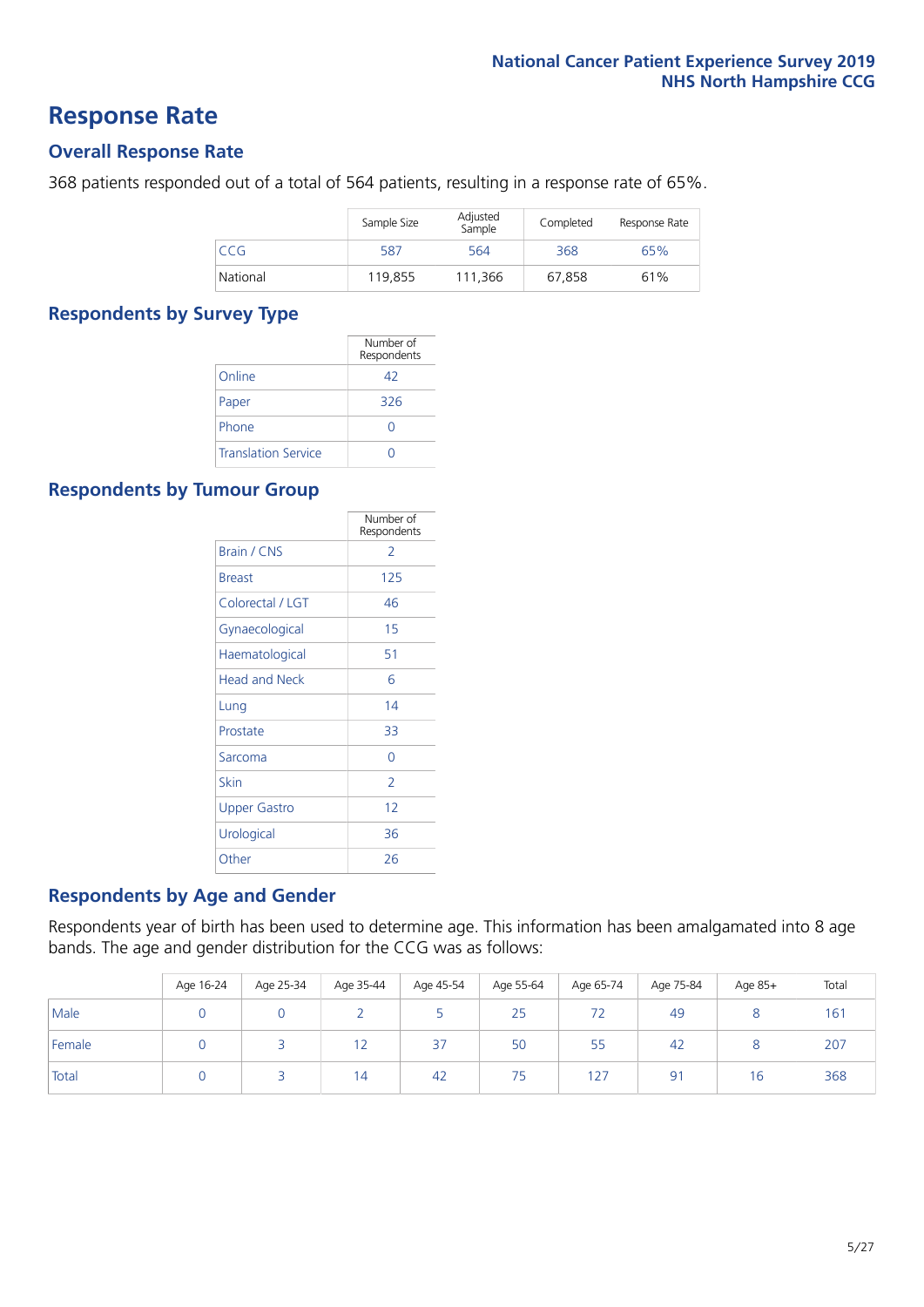### **Response Rate**

#### **Overall Response Rate**

368 patients responded out of a total of 564 patients, resulting in a response rate of 65%.

|          | Sample Size | Adjusted<br>Sample | Completed | Response Rate |
|----------|-------------|--------------------|-----------|---------------|
| CCG      | 587         | 564                | 368       | 65%           |
| National | 119,855     | 111.366            | 67,858    | 61%           |

#### **Respondents by Survey Type**

|                            | Number of<br>Respondents |
|----------------------------|--------------------------|
| Online                     | 42                       |
| Paper                      | 326                      |
| Phone                      |                          |
| <b>Translation Service</b> |                          |

#### **Respondents by Tumour Group**

|                      | Number of<br>Respondents |
|----------------------|--------------------------|
| Brain / CNS          | 2                        |
| <b>Breast</b>        | 125                      |
| Colorectal / LGT     | 46                       |
| Gynaecological       | 15                       |
| Haematological       | 51                       |
| <b>Head and Neck</b> | 6                        |
| Lung                 | 14                       |
| Prostate             | 33                       |
| Sarcoma              | Ω                        |
| Skin                 | 2                        |
| Upper Gastro         | 12                       |
| Urological           | 36                       |
| Other                | 26                       |

#### **Respondents by Age and Gender**

Respondents year of birth has been used to determine age. This information has been amalgamated into 8 age bands. The age and gender distribution for the CCG was as follows:

|        | Age 16-24 | Age 25-34 | Age 35-44 | Age 45-54 | Age 55-64 | Age 65-74 | Age 75-84      | Age 85+ | Total |
|--------|-----------|-----------|-----------|-----------|-----------|-----------|----------------|---------|-------|
| Male   |           |           |           |           | 25        | 72        | 49             |         | 161   |
| Female |           |           | 12        | 37        | 50        | 55        | 42             |         | 207   |
| Total  |           |           | 14        | 42        | 75        | 127       | 9 <sup>1</sup> | 16      | 368   |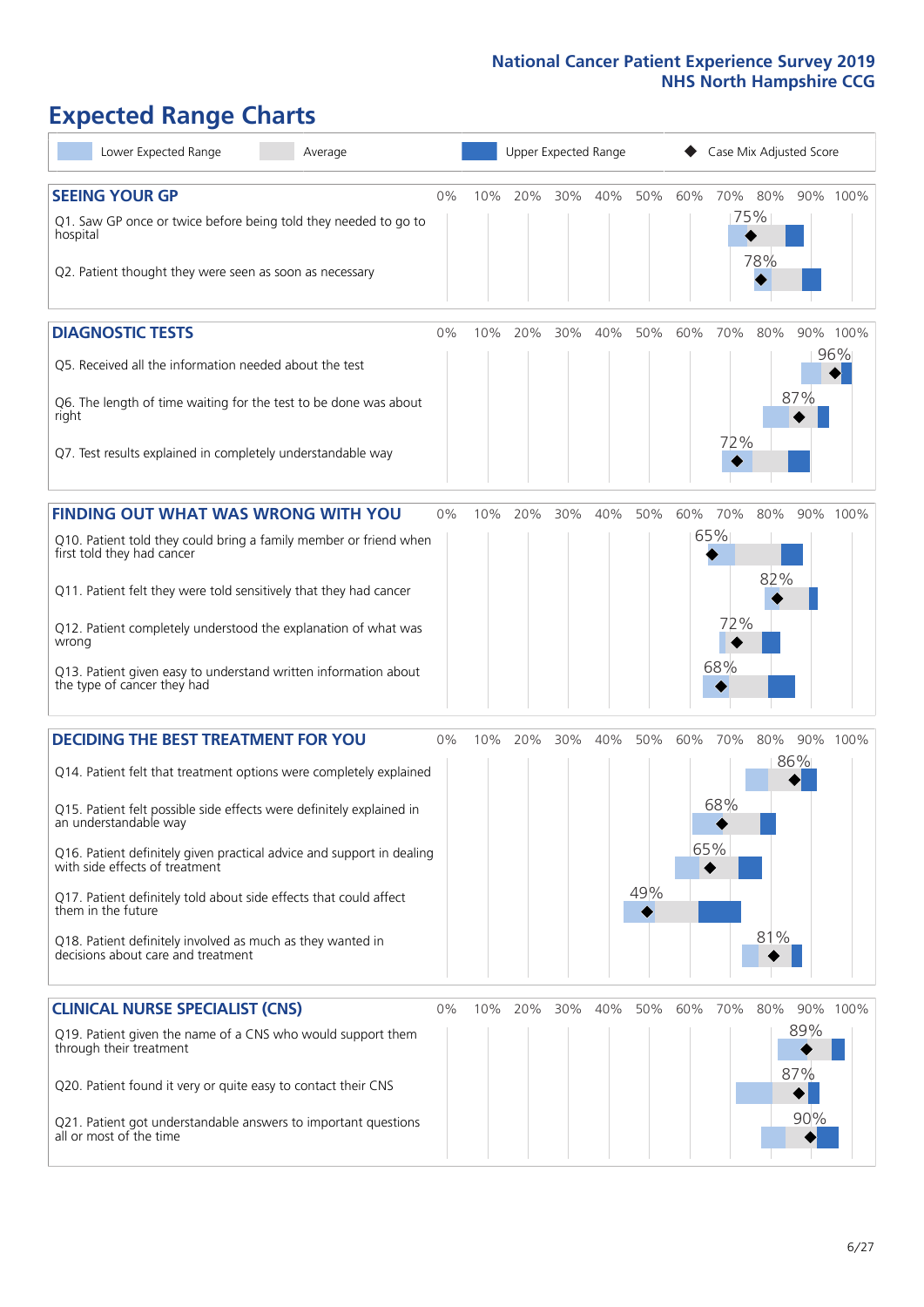# **Expected Range Charts**

| Lower Expected Range<br>Average                                                                                                                                                                                                                                                                                                                                                                                                                                                                                             |    |     | Upper Expected Range |     |     |            |     | Case Mix Adjusted Score  |            |                   |                 |
|-----------------------------------------------------------------------------------------------------------------------------------------------------------------------------------------------------------------------------------------------------------------------------------------------------------------------------------------------------------------------------------------------------------------------------------------------------------------------------------------------------------------------------|----|-----|----------------------|-----|-----|------------|-----|--------------------------|------------|-------------------|-----------------|
| <b>SEEING YOUR GP</b><br>Q1. Saw GP once or twice before being told they needed to go to<br>hospital<br>Q2. Patient thought they were seen as soon as necessary                                                                                                                                                                                                                                                                                                                                                             | 0% | 10% | 20%                  | 30% | 40% | 50%        | 60% | 70%<br>75%               | 80%<br>78% |                   | 90% 100%        |
| <b>DIAGNOSTIC TESTS</b><br>Q5. Received all the information needed about the test<br>Q6. The length of time waiting for the test to be done was about<br>right<br>Q7. Test results explained in completely understandable way                                                                                                                                                                                                                                                                                               | 0% | 10% | 20%                  | 30% | 40% | 50%        | 60% | 70%<br>72%               | 80%        | 87%               | 90% 100%<br>96% |
| <b>FINDING OUT WHAT WAS WRONG WITH YOU</b><br>Q10. Patient told they could bring a family member or friend when<br>first told they had cancer<br>Q11. Patient felt they were told sensitively that they had cancer<br>Q12. Patient completely understood the explanation of what was<br>wrong<br>Q13. Patient given easy to understand written information about<br>the type of cancer they had                                                                                                                             | 0% | 10% | 20%                  | 30% | 40% | 50%        | 60% | 70%<br>65%<br>72%<br>68% | 80%<br>82% |                   | 90% 100%        |
| <b>DECIDING THE BEST TREATMENT FOR YOU</b><br>Q14. Patient felt that treatment options were completely explained<br>Q15. Patient felt possible side effects were definitely explained in<br>an understandable way<br>Q16. Patient definitely given practical advice and support in dealing<br>with side effects of treatment<br>Q17. Patient definitely told about side effects that could affect<br>them in the future<br>Q18. Patient definitely involved as much as they wanted in<br>decisions about care and treatment | 0% | 10% | 20%                  | 30% | 40% | 50%<br>49% | 60% | 70%<br>68%<br>65%        | 80%<br>81% | 86%               | 90% 100%        |
| <b>CLINICAL NURSE SPECIALIST (CNS)</b><br>Q19. Patient given the name of a CNS who would support them<br>through their treatment<br>Q20. Patient found it very or quite easy to contact their CNS<br>Q21. Patient got understandable answers to important questions<br>all or most of the time                                                                                                                                                                                                                              | 0% | 10% | 20%                  | 30% | 40% | 50%        | 60% | 70%                      | 80%        | 89%<br>87%<br>90% | 90% 100%        |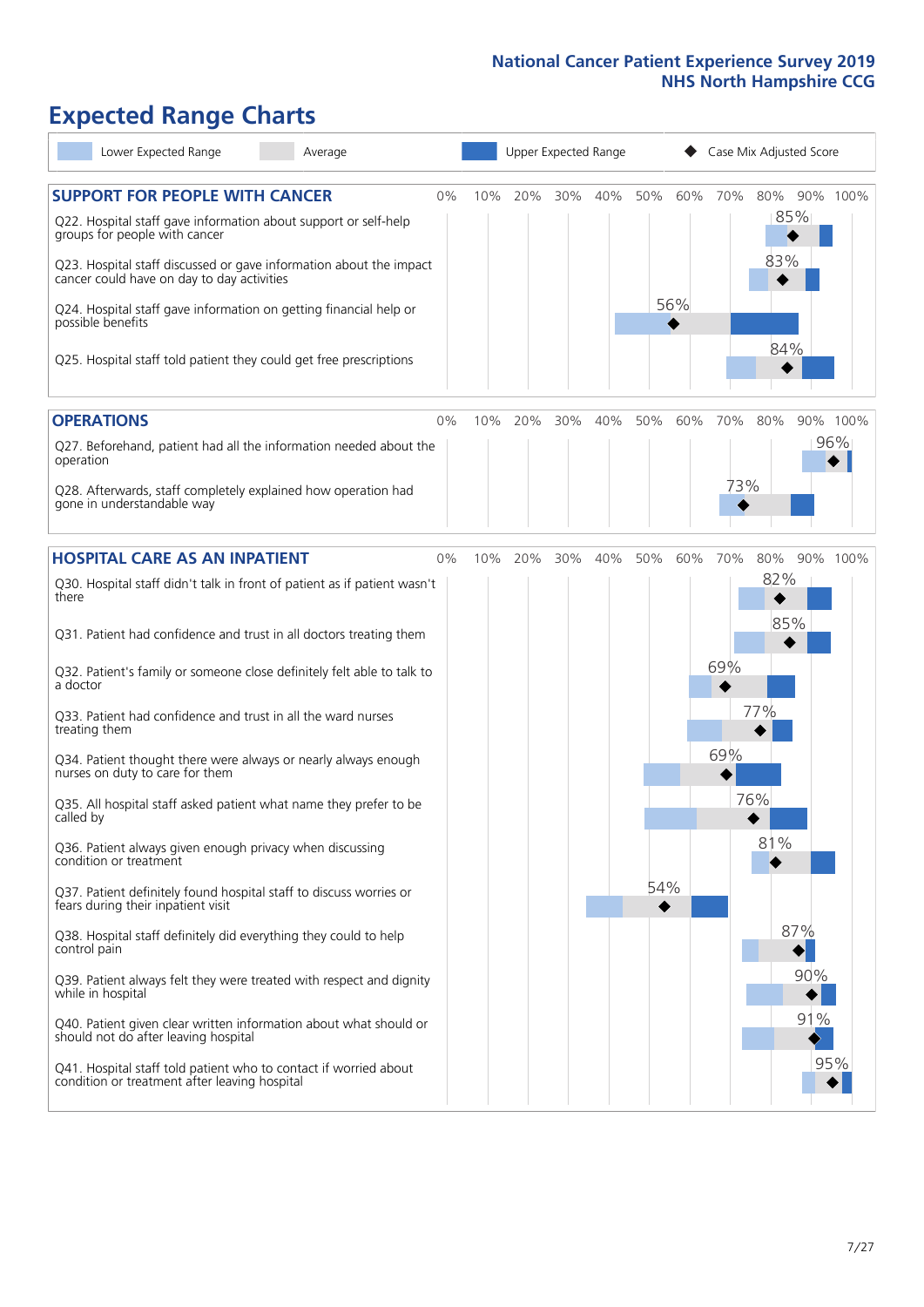# **Expected Range Charts**

| Lower Expected Range<br>Average                                                                                                                                                                                                                               |    |     |     | Upper Expected Range |     |     |     |     | Case Mix Adjusted Score |          |
|---------------------------------------------------------------------------------------------------------------------------------------------------------------------------------------------------------------------------------------------------------------|----|-----|-----|----------------------|-----|-----|-----|-----|-------------------------|----------|
| <b>SUPPORT FOR PEOPLE WITH CANCER</b><br>Q22. Hospital staff gave information about support or self-help<br>groups for people with cancer<br>Q23. Hospital staff discussed or gave information about the impact<br>cancer could have on day to day activities | 0% | 10% | 20% | 30%                  | 40% | 50% | 60% | 70% | 80%<br>85%<br>83%       | 90% 100% |
| Q24. Hospital staff gave information on getting financial help or<br>possible benefits<br>Q25. Hospital staff told patient they could get free prescriptions                                                                                                  |    |     |     |                      |     |     | 56% |     | 84%                     |          |
| <b>OPERATIONS</b>                                                                                                                                                                                                                                             | 0% | 10% | 20% | 30%                  | 40% | 50% | 60% | 70% | 80%                     | 90% 100% |
| Q27. Beforehand, patient had all the information needed about the<br>operation<br>Q28. Afterwards, staff completely explained how operation had<br>gone in understandable way                                                                                 |    |     |     |                      |     |     |     | 73% |                         | 96%      |
| <b>HOSPITAL CARE AS AN INPATIENT</b>                                                                                                                                                                                                                          | 0% | 10% | 20% | 30%                  | 40% | 50% | 60% | 70% | 80%                     | 90% 100% |
| Q30. Hospital staff didn't talk in front of patient as if patient wasn't<br>there                                                                                                                                                                             |    |     |     |                      |     |     |     |     | 82%                     |          |
| Q31. Patient had confidence and trust in all doctors treating them                                                                                                                                                                                            |    |     |     |                      |     |     |     |     | 85%                     |          |
| Q32. Patient's family or someone close definitely felt able to talk to<br>a doctor                                                                                                                                                                            |    |     |     |                      |     |     |     | 69% |                         |          |
| Q33. Patient had confidence and trust in all the ward nurses<br>treating them                                                                                                                                                                                 |    |     |     |                      |     |     |     |     | 77%                     |          |
| Q34. Patient thought there were always or nearly always enough<br>nurses on duty to care for them                                                                                                                                                             |    |     |     |                      |     |     |     | 69% |                         |          |
| Q35. All hospital staff asked patient what name they prefer to be<br>called by                                                                                                                                                                                |    |     |     |                      |     |     |     |     | 76%                     |          |
| Q36. Patient always given enough privacy when discussing<br>condition or treatment                                                                                                                                                                            |    |     |     |                      |     |     |     |     | 81%                     |          |
| Q37. Patient definitely found hospital staff to discuss worries or<br>fears during their inpatient visit                                                                                                                                                      |    |     |     |                      |     | 54% |     |     |                         |          |
| Q38. Hospital staff definitely did everything they could to help<br>control pain                                                                                                                                                                              |    |     |     |                      |     |     |     |     | 87%                     |          |
| Q39. Patient always felt they were treated with respect and dignity<br>while in hospital                                                                                                                                                                      |    |     |     |                      |     |     |     |     | 90%                     |          |
| Q40. Patient given clear written information about what should or<br>should not do after leaving hospital                                                                                                                                                     |    |     |     |                      |     |     |     |     | 91%                     |          |
| Q41. Hospital staff told patient who to contact if worried about<br>condition or treatment after leaving hospital                                                                                                                                             |    |     |     |                      |     |     |     |     |                         | 95%      |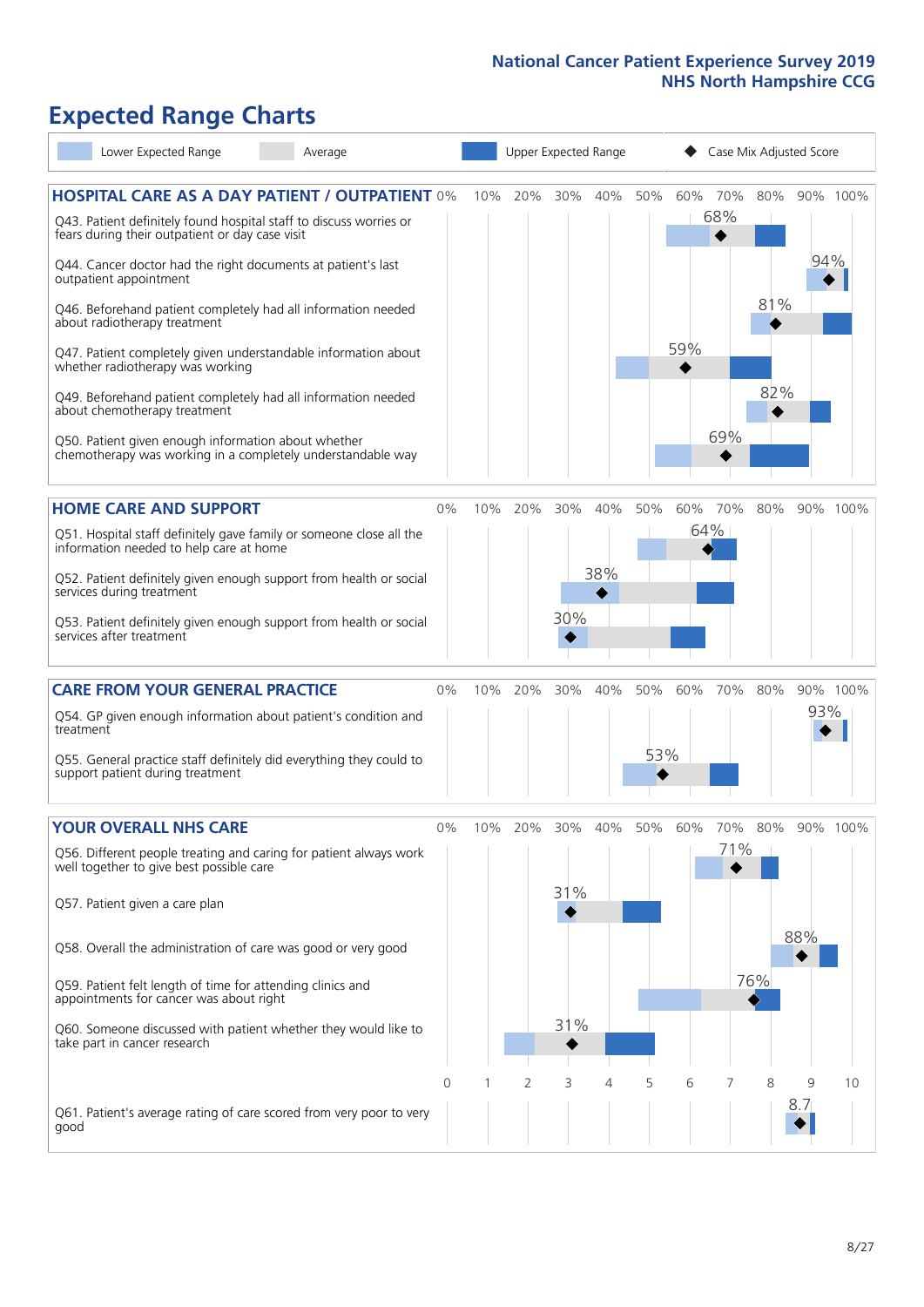# **Expected Range Charts**

| Lower Expected Range                                                                                                                                                                                                                                                                                                                                                                                                                                                                                                                                                                                                                                                                                   | Average |    |     | Upper Expected Range |                   |            |            |            |                   | Case Mix Adjusted Score |          |          |
|--------------------------------------------------------------------------------------------------------------------------------------------------------------------------------------------------------------------------------------------------------------------------------------------------------------------------------------------------------------------------------------------------------------------------------------------------------------------------------------------------------------------------------------------------------------------------------------------------------------------------------------------------------------------------------------------------------|---------|----|-----|----------------------|-------------------|------------|------------|------------|-------------------|-------------------------|----------|----------|
| <b>HOSPITAL CARE AS A DAY PATIENT / OUTPATIENT 0%</b><br>Q43. Patient definitely found hospital staff to discuss worries or<br>fears during their outpatient or day case visit<br>Q44. Cancer doctor had the right documents at patient's last<br>outpatient appointment<br>Q46. Beforehand patient completely had all information needed<br>about radiotherapy treatment<br>Q47. Patient completely given understandable information about<br>whether radiotherapy was working<br>Q49. Beforehand patient completely had all information needed<br>about chemotherapy treatment<br>Q50. Patient given enough information about whether<br>chemotherapy was working in a completely understandable way |         |    | 10% | 20%                  | 30%               | 40%        | 50%        | 60%<br>59% | 70%<br>68%<br>69% | 80%<br>81%<br>82%       | 94%      | 90% 100% |
| <b>HOME CARE AND SUPPORT</b><br>Q51. Hospital staff definitely gave family or someone close all the<br>information needed to help care at home<br>Q52. Patient definitely given enough support from health or social<br>services during treatment<br>Q53. Patient definitely given enough support from health or social<br>services after treatment                                                                                                                                                                                                                                                                                                                                                    |         | 0% | 10% | 20%                  | 30%<br>30%        | 40%<br>38% | 50%        |            | 60% 70%<br>64%    | 80%                     |          | 90% 100% |
| <b>CARE FROM YOUR GENERAL PRACTICE</b><br>Q54. GP given enough information about patient's condition and<br>treatment<br>Q55. General practice staff definitely did everything they could to<br>support patient during treatment                                                                                                                                                                                                                                                                                                                                                                                                                                                                       |         | 0% |     | 10% 20%              | 30%               | 40%        | 50%<br>53% | 60%        | 70%               | 80%                     | 93%      | 90% 100% |
| <b>YOUR OVERALL NHS CARE</b><br>Q56. Different people treating and caring for patient always work<br>well together to give best possible care<br>Q57. Patient given a care plan<br>Q58. Overall the administration of care was good or very good<br>Q59. Patient felt length of time for attending clinics and<br>appointments for cancer was about right<br>Q60. Someone discussed with patient whether they would like to<br>take part in cancer research                                                                                                                                                                                                                                            |         | 0% | 10% | 20%                  | 30%<br>31%<br>31% | 40%        | 50%        | 60%        | 70%<br>71%        | 80%<br>76%              | 88%      | 90% 100% |
| Q61. Patient's average rating of care scored from very poor to very<br>good                                                                                                                                                                                                                                                                                                                                                                                                                                                                                                                                                                                                                            |         | 0  |     | 2                    | 3                 | 4          | 5          | 6          | 7                 | 8                       | 9<br>8.7 | 10       |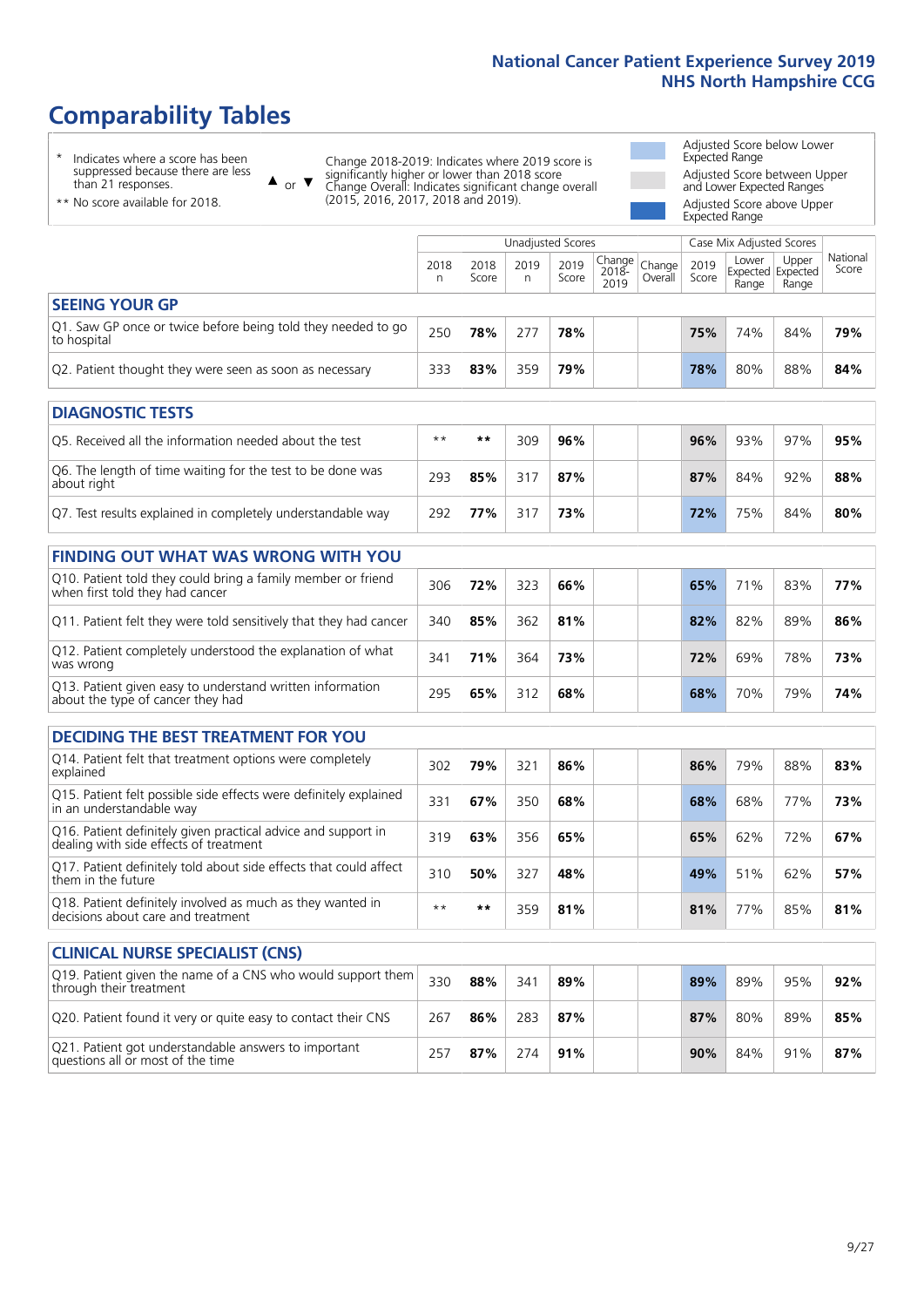# **Comparability Tables**

\* Indicates where a score has been suppressed because there are less than 21 responses.

\*\* No score available for 2018.

 $\triangle$  or  $\nabla$ 

Change 2018-2019: Indicates where 2019 score is significantly higher or lower than 2018 score Change Overall: Indicates significant change overall (2015, 2016, 2017, 2018 and 2019).

Adjusted Score below Lower Expected Range Adjusted Score between Upper and Lower Expected Ranges Adjusted Score above Upper Expected Range

|                                                                             | Case Mix Adjusted Scores<br>Unadjusted Scores |               |           |               |                                             |         |               |                |                                     |                   |
|-----------------------------------------------------------------------------|-----------------------------------------------|---------------|-----------|---------------|---------------------------------------------|---------|---------------|----------------|-------------------------------------|-------------------|
|                                                                             | 2018<br>n                                     | 2018<br>Score | 2019<br>n | 2019<br>Score | $\sqrt{Change} _{Change} $<br>2018-<br>2019 | Overall | 2019<br>Score | Lower<br>Range | Upper<br>Expected Expected<br>Range | National<br>Score |
| <b>SEEING YOUR GP</b>                                                       |                                               |               |           |               |                                             |         |               |                |                                     |                   |
| Q1. Saw GP once or twice before being told they needed to go<br>to hospital | 250                                           | 78%           | 277       | 78%           |                                             |         | 75%           | 74%            | 84%                                 | 79%               |
| Q2. Patient thought they were seen as soon as necessary                     | 333                                           | 83%           | 359       | 79%           |                                             |         | 78%           | 80%            | 88%                                 | 84%               |
| DIAGNOSTIC TESTS                                                            |                                               |               |           |               |                                             |         |               |                |                                     |                   |

| <b>PIASIVOJIIL ILJIJ</b>                                                  |      |     |     |     |  |     |     |     |     |
|---------------------------------------------------------------------------|------|-----|-----|-----|--|-----|-----|-----|-----|
| Q5. Received all the information needed about the test                    | $**$ | **  | 309 | 96% |  | 96% | 93% | 97% | 95% |
| Q6. The length of time waiting for the test to be done was<br>about right | 293  | 85% | 317 | 87% |  | 87% | 84% | 92% | 88% |
| Q7. Test results explained in completely understandable way               | 292  | 77% |     | 73% |  | 72% | 75% | 84% | 80% |

| <b>FINDING OUT WHAT WAS WRONG WITH YOU</b>                                                      |     |     |     |     |     |     |     |     |
|-------------------------------------------------------------------------------------------------|-----|-----|-----|-----|-----|-----|-----|-----|
| Q10. Patient told they could bring a family member or friend<br>when first told they had cancer | 306 | 72% | 323 | 66% | 65% | 71% | 83% | 77% |
| Q11. Patient felt they were told sensitively that they had cancer                               | 340 | 85% | 362 | 81% | 82% | 82% | 89% | 86% |
| Q12. Patient completely understood the explanation of what<br>was wrong                         | 341 | 71% | 364 | 73% | 72% | 69% | 78% | 73% |
| Q13. Patient given easy to understand written information<br>about the type of cancer they had  | 295 | 65% | 312 | 68% | 68% | 70% | 79% | 74% |

| <b>DECIDING THE BEST TREATMENT FOR YOU</b>                                                              |      |     |     |     |  |     |     |     |     |
|---------------------------------------------------------------------------------------------------------|------|-----|-----|-----|--|-----|-----|-----|-----|
| Q14. Patient felt that treatment options were completely<br>explained                                   | 302  | 79% | 321 | 86% |  | 86% | 79% | 88% | 83% |
| Q15. Patient felt possible side effects were definitely explained<br>in an understandable way           | 331  | 67% | 350 | 68% |  | 68% | 68% | 77% | 73% |
| Q16. Patient definitely given practical advice and support in<br>dealing with side effects of treatment | 319  | 63% | 356 | 65% |  | 65% | 62% | 72% | 67% |
| Q17. Patient definitely told about side effects that could affect<br>them in the future                 | 310  | 50% | 327 | 48% |  | 49% | 51% | 62% | 57% |
| Q18. Patient definitely involved as much as they wanted in<br>decisions about care and treatment        | $**$ | **  | 359 | 81% |  | 81% | 77% | 85% | 81% |

| <b>CLINICAL NURSE SPECIALIST (CNS)</b>                                                    |     |     |     |     |  |     |     |     |     |
|-------------------------------------------------------------------------------------------|-----|-----|-----|-----|--|-----|-----|-----|-----|
| Q19. Patient given the name of a CNS who would support them<br>through their treatment    | 330 | 88% | 341 | 89% |  | 89% | 89% | 95% | 92% |
| Q20. Patient found it very or quite easy to contact their CNS                             | 267 | 86% | 283 | 87% |  | 87% | 80% | 89% | 85% |
| Q21. Patient got understandable answers to important<br>questions all or most of the time | 257 | 87% | 274 | 91% |  | 90% | 84% | 91% | 87% |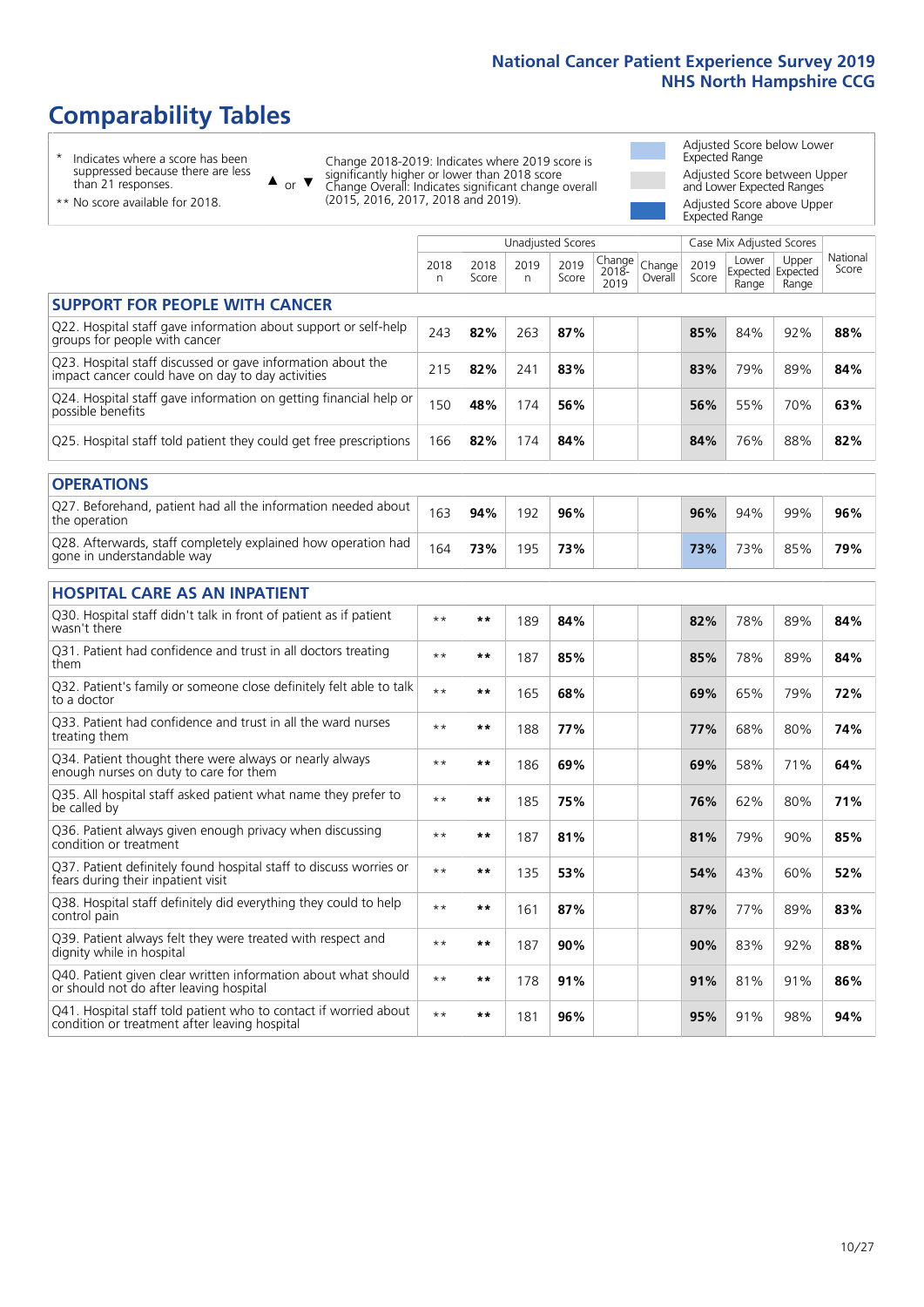# **Comparability Tables**

\* Indicates where a score has been suppressed because there are less than 21 responses.

\*\* No score available for 2018.

 $\triangle$  or  $\nabla$ 

Change 2018-2019: Indicates where 2019 score is significantly higher or lower than 2018 score Change Overall: Indicates significant change overall (2015, 2016, 2017, 2018 and 2019).

Adjusted Score below Lower Expected Range Adjusted Score between Upper and Lower Expected Ranges Adjusted Score above Upper Expected Range

|                                                                                                                   |              |               |           | <b>Unadjusted Scores</b> |                         |                   |               | Case Mix Adjusted Scores            |                |                   |
|-------------------------------------------------------------------------------------------------------------------|--------------|---------------|-----------|--------------------------|-------------------------|-------------------|---------------|-------------------------------------|----------------|-------------------|
|                                                                                                                   | 2018<br>n    | 2018<br>Score | 2019<br>n | 2019<br>Score            | Change<br>2018-<br>2019 | Change<br>Overall | 2019<br>Score | Lower<br>Expected Expected<br>Range | Upper<br>Range | National<br>Score |
| <b>SUPPORT FOR PEOPLE WITH CANCER</b>                                                                             |              |               |           |                          |                         |                   |               |                                     |                |                   |
| Q22. Hospital staff gave information about support or self-help<br>groups for people with cancer                  | 243          | 82%           | 263       | 87%                      |                         |                   | 85%           | 84%                                 | 92%            | 88%               |
| Q23. Hospital staff discussed or gave information about the<br>impact cancer could have on day to day activities  | 215          | 82%           | 241       | 83%                      |                         |                   | 83%           | 79%                                 | 89%            | 84%               |
| Q24. Hospital staff gave information on getting financial help or<br>possible benefits                            | 150          | 48%           | 174       | 56%                      |                         |                   | 56%           | 55%                                 | 70%            | 63%               |
| Q25. Hospital staff told patient they could get free prescriptions                                                | 166          | 82%           | 174       | 84%                      |                         |                   | 84%           | 76%                                 | 88%            | 82%               |
| <b>OPERATIONS</b>                                                                                                 |              |               |           |                          |                         |                   |               |                                     |                |                   |
| Q27. Beforehand, patient had all the information needed about<br>the operation                                    | 163          | 94%           | 192       | 96%                      |                         |                   | 96%           | 94%                                 | 99%            | 96%               |
| Q28. Afterwards, staff completely explained how operation had<br>gone in understandable way                       | 164          | 73%           | 195       | 73%                      |                         |                   | 73%           | 73%                                 | 85%            | 79%               |
| <b>HOSPITAL CARE AS AN INPATIENT</b>                                                                              |              |               |           |                          |                         |                   |               |                                     |                |                   |
| Q30. Hospital staff didn't talk in front of patient as if patient<br>wasn't there                                 | $\star\star$ | **            | 189       | 84%                      |                         |                   | 82%           | 78%                                 | 89%            | 84%               |
| Q31. Patient had confidence and trust in all doctors treating<br>them                                             | $\star\star$ | **            | 187       | 85%                      |                         |                   | 85%           | 78%                                 | 89%            | 84%               |
| Q32. Patient's family or someone close definitely felt able to talk<br>to a doctor                                | $* *$        | **            | 165       | 68%                      |                         |                   | 69%           | 65%                                 | 79%            | 72%               |
| Q33. Patient had confidence and trust in all the ward nurses<br>treating them                                     | $**$         | **            | 188       | 77%                      |                         |                   | 77%           | 68%                                 | 80%            | 74%               |
| Q34. Patient thought there were always or nearly always<br>enough nurses on duty to care for them                 | $* *$        | **            | 186       | 69%                      |                         |                   | 69%           | 58%                                 | 71%            | 64%               |
| Q35. All hospital staff asked patient what name they prefer to<br>be called by                                    | $**$         | **            | 185       | 75%                      |                         |                   | 76%           | 62%                                 | 80%            | 71%               |
| Q36. Patient always given enough privacy when discussing<br>condition or treatment                                | $**$         | **            | 187       | 81%                      |                         |                   | 81%           | 79%                                 | 90%            | 85%               |
| Q37. Patient definitely found hospital staff to discuss worries or<br>fears during their inpatient visit          | $**$         | **            | 135       | 53%                      |                         |                   | 54%           | 43%                                 | 60%            | 52%               |
| Q38. Hospital staff definitely did everything they could to help<br>control pain                                  | $\star\star$ | $***$         | 161       | 87%                      |                         |                   | 87%           | 77%                                 | 89%            | 83%               |
| Q39. Patient always felt they were treated with respect and<br>dignity while in hospital                          | $\star\star$ | **            | 187       | 90%                      |                         |                   | 90%           | 83%                                 | 92%            | 88%               |
| Q40. Patient given clear written information about what should<br>or should not do after leaving hospital         | $**$         | **            | 178       | 91%                      |                         |                   | 91%           | 81%                                 | 91%            | 86%               |
| Q41. Hospital staff told patient who to contact if worried about<br>condition or treatment after leaving hospital | $**$         | **            | 181       | 96%                      |                         |                   | 95%           | 91%                                 | 98%            | 94%               |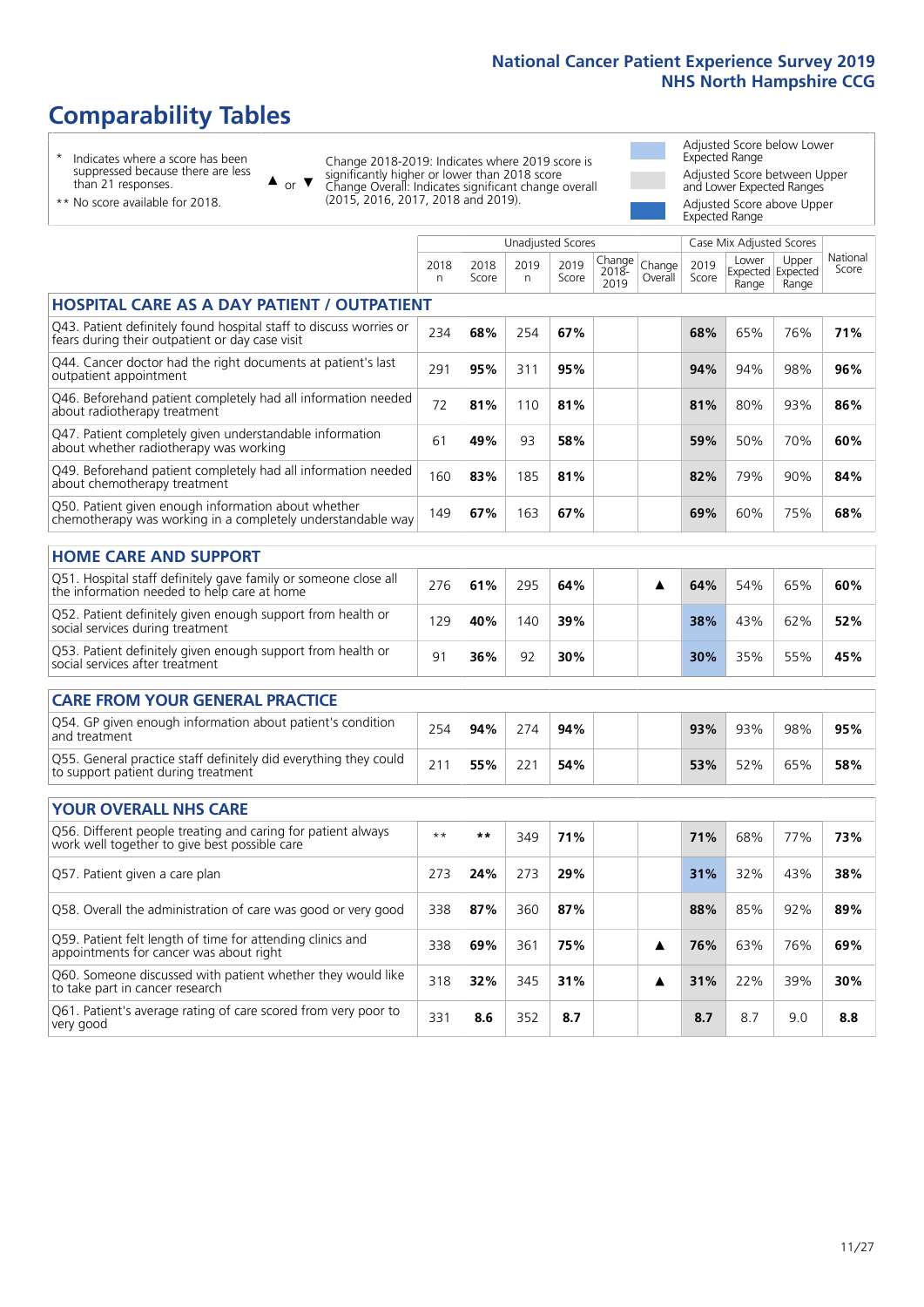# **Comparability Tables**

\* Indicates where a score has been suppressed because there are less than 21 responses.

\*\* No score available for 2018.

 $\triangle$  or  $\nabla$ 

Change 2018-2019: Indicates where 2019 score is significantly higher or lower than 2018 score Change Overall: Indicates significant change overall (2015, 2016, 2017, 2018 and 2019).

Adjusted Score below Lower Expected Range Adjusted Score between Upper and Lower Expected Ranges Adjusted Score above Upper Expected Range

|                                                                                                                       |            |               |           | <b>Unadjusted Scores</b> |                         |                   |               | Case Mix Adjusted Scores            |                |                   |
|-----------------------------------------------------------------------------------------------------------------------|------------|---------------|-----------|--------------------------|-------------------------|-------------------|---------------|-------------------------------------|----------------|-------------------|
|                                                                                                                       | 2018<br>n. | 2018<br>Score | 2019<br>n | 2019<br>Score            | Change<br>2018-<br>2019 | Change<br>Overall | 2019<br>Score | Lower<br>Expected Expected<br>Range | Upper<br>Range | National<br>Score |
| <b>HOSPITAL CARE AS A DAY PATIENT / OUTPATIENT</b>                                                                    |            |               |           |                          |                         |                   |               |                                     |                |                   |
| Q43. Patient definitely found hospital staff to discuss worries or<br>fears during their outpatient or day case visit | 234        | 68%           | 254       | 67%                      |                         |                   | 68%           | 65%                                 | 76%            | 71%               |
| Q44. Cancer doctor had the right documents at patient's last<br>outpatient appointment                                | 291        | 95%           | 311       | 95%                      |                         |                   | 94%           | 94%                                 | 98%            | 96%               |
| Q46. Beforehand patient completely had all information needed<br>about radiotherapy treatment                         | 72         | 81%           | 110       | 81%                      |                         |                   | 81%           | 80%                                 | 93%            | 86%               |
| Q47. Patient completely given understandable information<br>about whether radiotherapy was working                    | 61         | 49%           | 93        | 58%                      |                         |                   | 59%           | 50%                                 | 70%            | 60%               |
| Q49. Beforehand patient completely had all information needed<br>about chemotherapy treatment                         | 160        | 83%           | 185       | 81%                      |                         |                   | 82%           | 79%                                 | 90%            | 84%               |
| Q50. Patient given enough information about whether<br>chemotherapy was working in a completely understandable way    | 149        | 67%           | 163       | 67%                      |                         |                   | 69%           | 60%                                 | 75%            | 68%               |
| <b>HOME CARE AND SUPPORT</b>                                                                                          |            |               |           |                          |                         |                   |               |                                     |                |                   |
| Q51. Hospital staff definitely gave family or someone close all<br>the information needed to help care at home        | 276        | 61%           | 295       | 64%                      |                         | ▲                 | 64%           | 54%                                 | 65%            | 60%               |
| Q52. Patient definitely given enough support from health or<br>social services during treatment                       | 129        | 40%           | 140       | 39%                      |                         |                   | 38%           | 43%                                 | 62%            | 52%               |
| Q53. Patient definitely given enough support from health or<br>social services after treatment                        | 91         | 36%           | 92        | 30%                      |                         |                   | 30%           | 35%                                 | 55%            | 45%               |
| <b>CARE FROM YOUR GENERAL PRACTICE</b>                                                                                |            |               |           |                          |                         |                   |               |                                     |                |                   |
| Q54. GP given enough information about patient's condition<br>and treatment                                           | 254        | 94%           | 274       | 94%                      |                         |                   | 93%           | 93%                                 | 98%            | 95%               |
| Q55. General practice staff definitely did everything they could<br>to support patient during treatment               | 211        | 55%           | 221       | 54%                      |                         |                   | 53%           | 52%                                 | 65%            | 58%               |
| <b>YOUR OVERALL NHS CARE</b>                                                                                          |            |               |           |                          |                         |                   |               |                                     |                |                   |
| Q56. Different people treating and caring for patient always<br>work well together to give best possible care         | $* *$      | $***$         | 349       | 71%                      |                         |                   | 71%           | 68%                                 | 77%            | 73%               |
| Q57. Patient given a care plan                                                                                        | 273        | 24%           | 273       | 29%                      |                         |                   | 31%           | 32%                                 | 43%            | 38%               |
| Q58. Overall the administration of care was good or very good                                                         | 338        | 87%           | 360       | 87%                      |                         |                   | 88%           | 85%                                 | 92%            | 89%               |
| Q59. Patient felt length of time for attending clinics and<br>appointments for cancer was about right                 | 338        | 69%           | 361       | 75%                      |                         | ▲                 | 76%           | 63%                                 | 76%            | 69%               |
| Q60. Someone discussed with patient whether they would like<br>to take part in cancer research                        | 318        | 32%           | 345       | 31%                      |                         | ▲                 | 31%           | 22%                                 | 39%            | 30%               |
| Q61. Patient's average rating of care scored from very poor to<br>very good                                           | 331        | 8.6           | 352       | 8.7                      |                         |                   | 8.7           | 8.7                                 | 9.0            | 8.8               |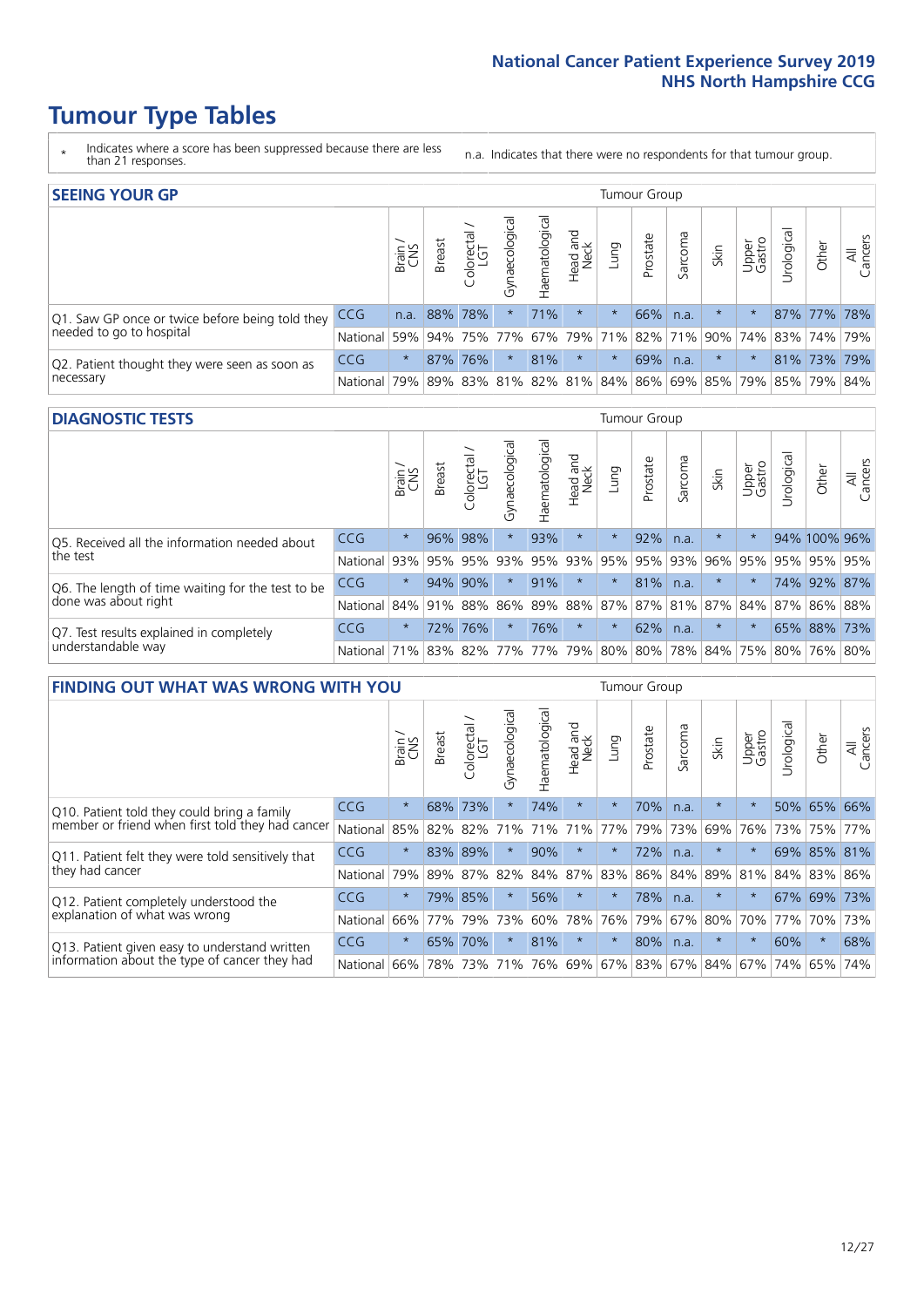- \* Indicates where a score has been suppressed because there are less than 21 responses.
- n.a. Indicates that there were no respondents for that tumour group.

| <b>SEEING YOUR GP</b>                           |            |         |               |             |                   |                |                                                           |         | Tumour Group |         |         |                 |                       |             |                |
|-------------------------------------------------|------------|---------|---------------|-------------|-------------------|----------------|-----------------------------------------------------------|---------|--------------|---------|---------|-----------------|-----------------------|-------------|----------------|
|                                                 |            | Brain   | <b>Breast</b> | Colorectal  | ত<br>Gynaecologic | Haematological | Head and<br>Neck                                          | Lung    | Prostate     | Sarcoma | Skin    | Upper<br>Gastro | $\sigma$<br>Jrologica | Other       | All<br>Cancers |
| Q1. Saw GP once or twice before being told they | CCG        | n.a.    | 88% 78%       |             | $\star$           | 71%            | $\star$                                                   | $\star$ | 66%          | n.a.    | $\star$ | $\star$         |                       | 87% 77% 78% |                |
| needed to go to hospital                        | National   | 59%     |               | 94% 75% 77% |                   |                | 67%   79%   71%   82%   71%   90%   74%   83%   74%   79% |         |              |         |         |                 |                       |             |                |
| Q2. Patient thought they were seen as soon as   | <b>CCG</b> | $\star$ |               | 87% 76%     | $\star$           | 81%            | $\star$                                                   | $\star$ | 69%          | n.a.    | $\star$ | $\star$         |                       | 81% 73% 79% |                |
| necessary                                       | National   | 79%     |               | 89% 83%     |                   |                | 81%   82%   81%   84%   86%   69%   85%   79%   85%   79% |         |              |         |         |                 |                       |             | 84%            |

#### **DIAGNOSTIC TESTS** Tumour Group

|                                                   |                                          | Brain   | <b>Breast</b> | Colorectal<br>LGT | ᅙ<br>Gynaecologic | Haematological | Head and<br>Neck | Lung        | Prostate | Sarcoma | Skin    | Upper<br>Gastro | rological                                   | Other        | All<br>Cancers |
|---------------------------------------------------|------------------------------------------|---------|---------------|-------------------|-------------------|----------------|------------------|-------------|----------|---------|---------|-----------------|---------------------------------------------|--------------|----------------|
| Q5. Received all the information needed about     | CCG                                      | $\star$ |               | 96% 98%           |                   | 93%            | $\star$          | $\star$     | 92%      | n.a.    | $\star$ | $\star$         |                                             | 94% 100% 96% |                |
| the test                                          | National                                 | 93%     |               | 95% 95%           |                   | 93% 95%        |                  | 93% 95% 95% |          | 93%     | 96%     | 95%             | 95% 95% 95%                                 |              |                |
| Q6. The length of time waiting for the test to be | <b>CCG</b>                               | $\star$ |               | 94% 90%           | $\star$           | 91%            | $\star$          | $\star$     | 81%      | n.a.    | $\star$ | $\star$         |                                             | 74% 92% 87%  |                |
| done was about right                              | National                                 |         | 84% 91% 88%   |                   |                   |                |                  |             |          |         |         |                 | 86% 89% 88% 87% 87% 81% 87% 84% 87% 86% 88% |              |                |
| Q7. Test results explained in completely          | <b>CCG</b>                               | $\star$ | 72%           | 76%               | $\star$           | 76%            | $\star$          | $\star$     | 62%      | n.a.    | $\star$ | $\star$         |                                             | 65% 88% 73%  |                |
| understandable way                                | National 71% 83% 82% 77% 77% 79% 80% 80% |         |               |                   |                   |                |                  |             |          |         |         |                 | 78% 84% 75% 80% 76% 80%                     |              |                |

| <b>FINDING OUT WHAT WAS WRONG WITH YOU</b>        |          |         |               |                        |                |                |                        |                     | Tumour Group |         |         |                 |            |         |                |
|---------------------------------------------------|----------|---------|---------------|------------------------|----------------|----------------|------------------------|---------------------|--------------|---------|---------|-----------------|------------|---------|----------------|
|                                                   |          | Brain   | <b>Breast</b> | olorectal.<br>LGT<br>Û | Gynaecological | Haematological | ad and<br>Neck<br>Head | Lung                | Prostate     | Sarcoma | Skin    | Upper<br>Gastro | Irological | Other   | All<br>Cancers |
| Q10. Patient told they could bring a family       | CCG      | $\star$ | 68%           | 73%                    |                | 74%            | $\star$                | $\star$             | 70%          | n.a.    | $\star$ | $\star$         | 50%        | 65%     | 66%            |
| member or friend when first told they had cancer  | National | 85%     | 82%           | 82%                    | 71%            | 71%            | 71%                    | 77%                 | 79%          | 73%     | 69%     | 76%             | 73%        | 75%     | 77%            |
| Q11. Patient felt they were told sensitively that | CCG      | $\star$ | 83%           | 89%                    |                | 90%            | $\star$                | $\star$             | 72%          | n.a.    |         | $\star$         | 69%        | 85%     | 81%            |
| they had cancer                                   | National | 79%     |               | 89% 87%                | 82%            |                | 84% 87%                | 83%                 | 86%          | 84%     | 89%     | 81%             |            | 84% 83% | 86%            |
| Q12. Patient completely understood the            | CCG      | $\star$ | 79%           | 85%                    |                | 56%            | $\star$                | $\star$             | 78%          | n.a.    | $\star$ | $\star$         | 67%        | 69%     | 73%            |
| explanation of what was wrong                     | National | 66%     | 77%           | 79%                    | 73%            | 60%            | 78%                    | 76%                 | 79%          | 67%     | 80%     | 70%             | 77%        | 70%     | 73%            |
| Q13. Patient given easy to understand written     | CCG      | $\star$ | 65%           | 70%                    | $\star$        | 81%            | $\star$                | $\star$             | 80%          | n.a.    | $\star$ | $\star$         | 60%        | $\ast$  | 68%            |
| information about the type of cancer they had     | National | 66%     | 78%           | 73%                    | 71%            | 76%            |                        | 69% 67% 83% 67% 84% |              |         |         | 67%             | 74%        | 65%     | 74%            |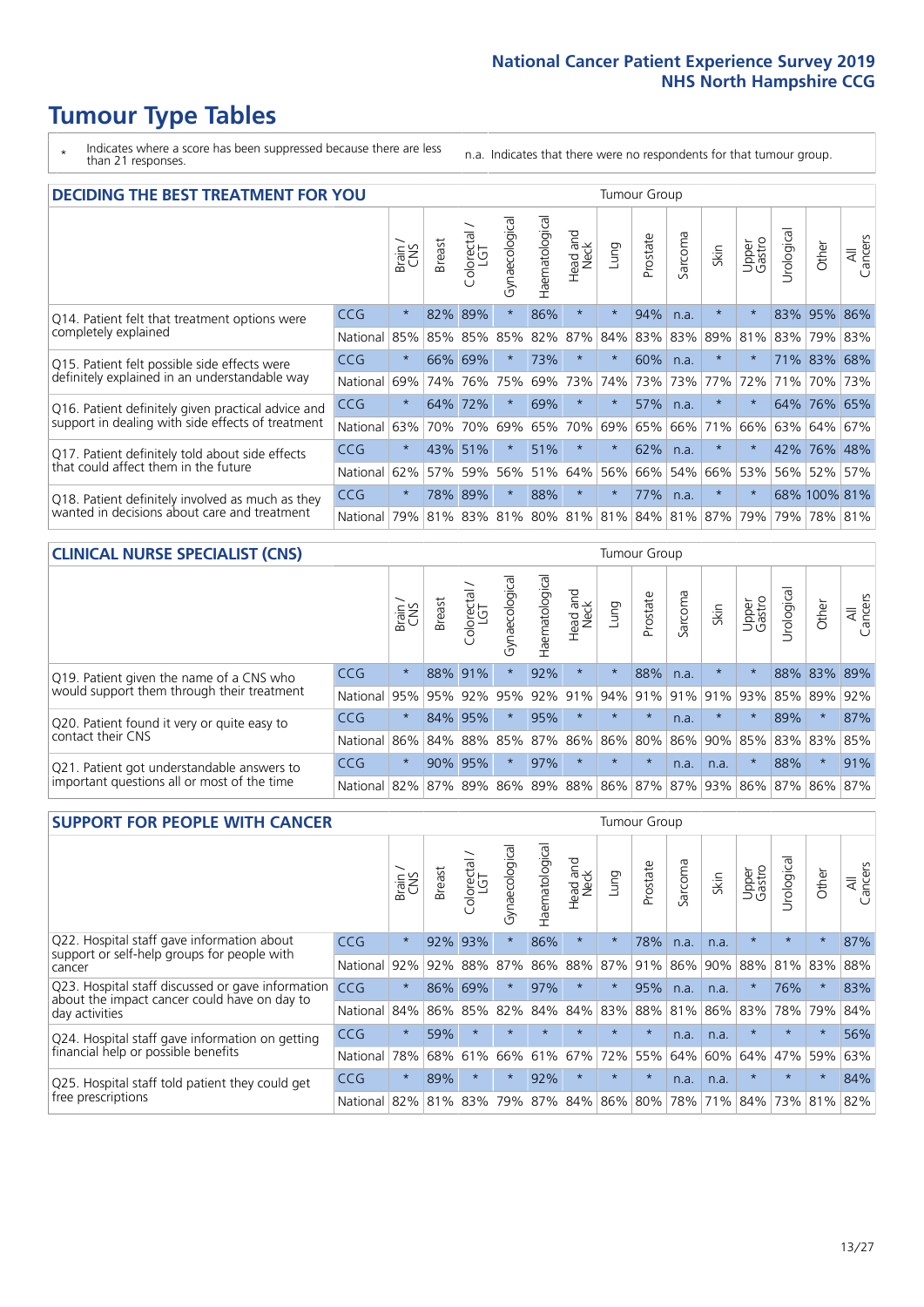\* Indicates where a score has been suppressed because there are less than 21 responses.

n.a. Indicates that there were no respondents for that tumour group.

| <b>DECIDING THE BEST TREATMENT FOR YOU</b>         |          |         |               |                             |                |                |                         |          | <b>Tumour Group</b> |         |         |                 |            |              |                |
|----------------------------------------------------|----------|---------|---------------|-----------------------------|----------------|----------------|-------------------------|----------|---------------------|---------|---------|-----------------|------------|--------------|----------------|
|                                                    |          | Brain   | <b>Breast</b> | olorectal.<br>LGT<br>$\cup$ | Gynaecological | Haematological | ead and<br>Neck<br>Head | Lung     | Prostate            | Sarcoma | Skin    | Upper<br>Gastro | Jrological | Other        | All<br>Cancers |
| Q14. Patient felt that treatment options were      | CCG      | $\star$ | 82%           | 89%                         | $\star$        | 86%            | $\star$                 | $\star$  | 94%                 | n.a.    | $\star$ | $\star$         |            | 83% 95%      | 86%            |
| completely explained                               | National | 85%     | 85%           | 85%                         | 85%            | 82%            | 87%                     | 84%      | 83%                 | 83%     | 89%     | 81%             |            | 83% 79%      | 83%            |
| Q15. Patient felt possible side effects were       | CCG      | $\star$ | 66%           | 69%                         | $\star$        | 73%            | $\star$                 | $^\star$ | 60%                 | n.a.    |         | $\star$         |            | 71% 83%      | 68%            |
| definitely explained in an understandable way      | National | 69%     | 74%           | 76%                         | 75%            | 69%            | 73%                     | 74%      | 73%                 | 73%     | 77%     | 72%             | 71%        | 70%          | 73%            |
| Q16. Patient definitely given practical advice and | CCG      | $\star$ | 64%           | 72%                         | $\star$        | 69%            | $\star$                 | $^\star$ | 57%                 | n.a.    |         | $\star$         |            | 64% 76% 65%  |                |
| support in dealing with side effects of treatment  | National | 63%     | 70%           | 70%                         | 69%            | 65%            | 70%                     | 69%      | 65%                 | 66%     | 71%     | 66%             |            | 63% 64%      | 67%            |
| Q17. Patient definitely told about side effects    | CCG      | $\star$ |               | 43% 51%                     |                | 51%            | $\star$                 | $\star$  | 62%                 | n.a.    | $\star$ | $\star$         |            | 42% 76%      | 48%            |
| that could affect them in the future               | National | 62%     | 57%           | 59%                         | 56%            | 51%            | 64%                     | 56%      | 66%                 | 54%     | 66%     | 53%             |            | 56% 52%      | 57%            |
| Q18. Patient definitely involved as much as they   | CCG      | $\star$ | 78%           | 89%                         | $\star$        | 88%            | $\star$                 | $\star$  | 77%                 | n.a.    | $\star$ | $\star$         |            | 68% 100% 81% |                |
| wanted in decisions about care and treatment       | National | 79%     |               |                             | 81% 83% 81%    |                | 80% 81% 81% 84% 81% 87% |          |                     |         |         | 79%             |            | 79% 78% 81%  |                |

#### **CLINICAL NURSE SPECIALIST (CNS)** Tumour Group

|                                             |          | Brain                                   | <b>Breast</b>   | Colorectal<br>LGT | ᠊ᢛ<br>Gynaecologic | $\overline{\sigma}$<br>ت<br>aematologi | Head and<br>Neck | Lung        | Prostate | Sarcoma | Skin    | Upper<br>Gastro | rological | Other       | All<br>Cancers |
|---------------------------------------------|----------|-----------------------------------------|-----------------|-------------------|--------------------|----------------------------------------|------------------|-------------|----------|---------|---------|-----------------|-----------|-------------|----------------|
| Q19. Patient given the name of a CNS who    | CCG      | $\star$                                 |                 | 88% 91%           |                    | 92%                                    | $\star$          |             | 88%      | n.a.    |         |                 |           | 88% 83% 89% |                |
| would support them through their treatment  | National | 95%                                     | 95%             | 92%               | 95%                | 92%                                    | 91%              |             | 94% 91%  | 91%     | 91%     | 93%             | 85%       | 89%         | 92%            |
| Q20. Patient found it very or quite easy to | CCG      | $\star$                                 |                 | 84% 95%           |                    | 95%                                    | $\star$          | $\star$     | $\star$  | n.a.    | $\star$ |                 | 89%       | $\ast$      | 87%            |
| contact their CNS                           | National |                                         | 86% 84% 88% 85% |                   |                    | 87%                                    |                  | 86% 86% 80% |          |         |         | 86% 90% 85%     |           | 83% 83%     | 85%            |
| Q21. Patient got understandable answers to  | CCG      | $\star$                                 | 90%             | 95%               |                    | 97%                                    | $\star$          | $\star$     | $\star$  | n.a.    | n.a.    |                 | 88%       | $\star$     | 91%            |
| important questions all or most of the time | National | 82% 87% 89% 86% 89% 88% 86% 87% 87% 93% |                 |                   |                    |                                        |                  |             |          |         |         | 86% 87%         |           | 86%         | 87%            |

| <b>SUPPORT FOR PEOPLE WITH CANCER</b>                                                             |            |         |               |            |                |                |                     |         | Tumour Group |                  |      |                 |           |         |                |
|---------------------------------------------------------------------------------------------------|------------|---------|---------------|------------|----------------|----------------|---------------------|---------|--------------|------------------|------|-----------------|-----------|---------|----------------|
|                                                                                                   |            | Brain   | <b>Breast</b> | Colorectal | Gynaecological | Haematological | and<br>Neck<br>Head | Lung    | Prostate     | arcoma<br>$\sim$ | Skin | Upper<br>Gastro | Jrologica | Other   | All<br>Cancers |
| Q22. Hospital staff gave information about<br>support or self-help groups for people with         | CCG        | $\star$ | 92%           | 93%        | $\star$        | 86%            | $\star$             | $\star$ | 78%          | n.a.             | n.a. | $\star$         | $\star$   | $\star$ | 87%            |
| cancer                                                                                            | National   | 92%     | 92%           | 88%        | 87%            | 86%            | 88%                 | 87%     | 91%          | 86%              | 90%  | 88%             | 81%       | 83%     | 88%            |
| Q23. Hospital staff discussed or gave information<br>about the impact cancer could have on day to | CCG.       | $\star$ | 86%           | 69%        | $\star$        | 97%            | $\star$             | $\star$ | 95%          | n.a.             | n.a. | $\star$         | 76%       | $\ast$  | 83%            |
| day activities                                                                                    | National   | 84%     | 86%           | 85%        | 82%            | 84%            | 84%                 | 83%     | 88%          | 81%              | 86%  | 83%             | 78%       | 79%     | 84%            |
| Q24. Hospital staff gave information on getting                                                   | <b>CCG</b> | $\star$ | 59%           | $\star$    | $\star$        |                | $\star$             | $\star$ | $\star$      | n.a.             | n.a. | $\star$         | $\star$   | $\ast$  | 56%            |
| financial help or possible benefits                                                               | National   | 78%     | 68%           | 61%        | 66%            | 61%            | 67%                 | 72%     | 55%          | 64%              | 60%  | 64%             | 47%       | 59%     | 63%            |
| Q25. Hospital staff told patient they could get                                                   | <b>CCG</b> | $\star$ | 89%           | $\star$    | $\star$        | 92%            | $\star$             | $\star$ | $\star$      | n.a.             | n.a. | $\star$         |           | $\ast$  | 84%            |
| free prescriptions                                                                                | National   | 82%     | 81%           | 83%        | 79%            | 87%            | 84%                 | 86%     | 80%          | 78%              | 71%  | 84%             | 73%       | 81%     | 82%            |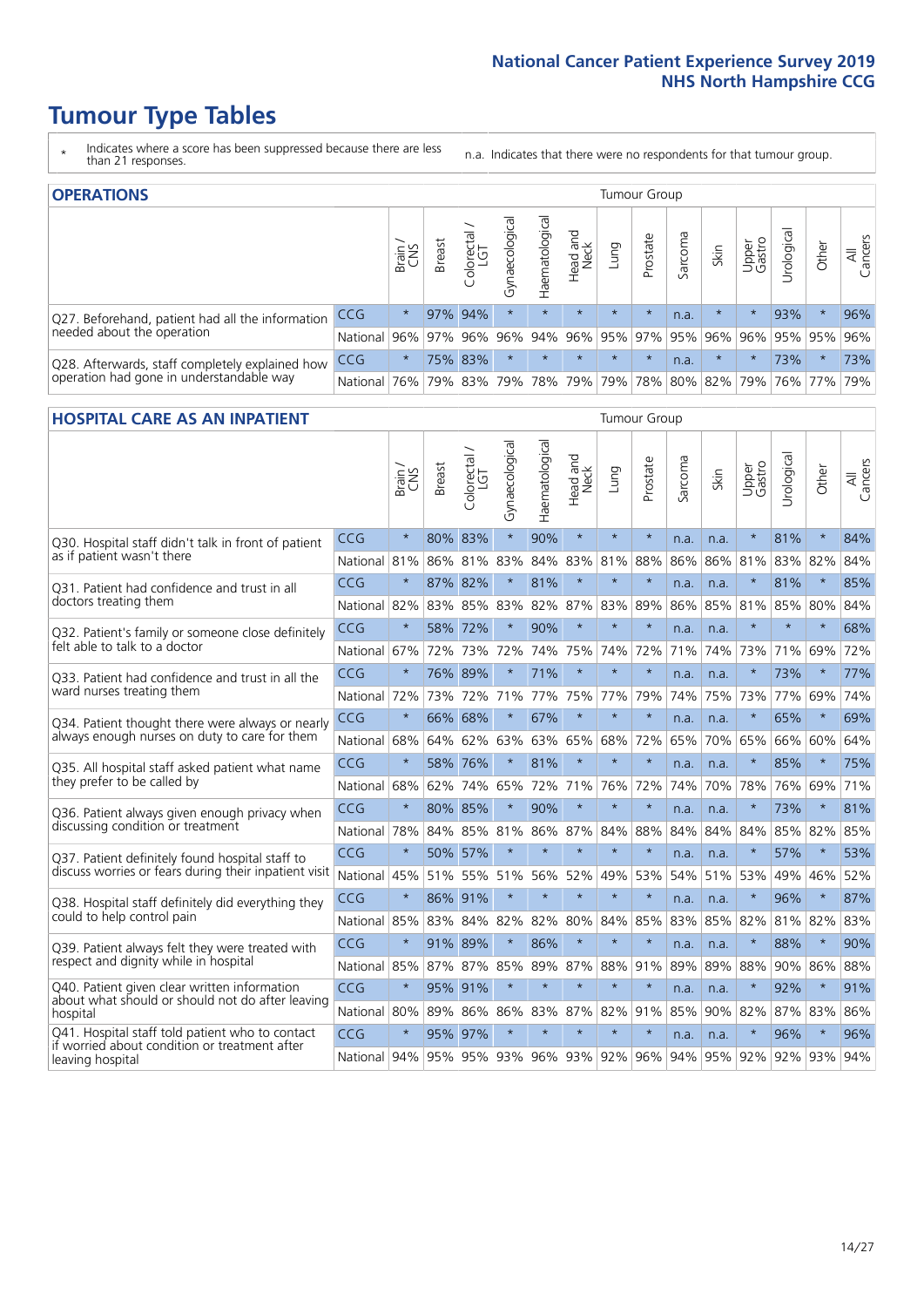- \* Indicates where a score has been suppressed because there are less than 21 responses.
- n.a. Indicates that there were no respondents for that tumour group.

| <b>OPERATIONS</b>                                |            |          |               |                        |                                     |                |                                 |         | Tumour Group |         |         |                     |            |         |                |
|--------------------------------------------------|------------|----------|---------------|------------------------|-------------------------------------|----------------|---------------------------------|---------|--------------|---------|---------|---------------------|------------|---------|----------------|
|                                                  |            | Brain    | <b>Breast</b> | iolorectal<br>LGT<br>Ü | $\overline{\sigma}$<br>Gynaecologic | Haematological | Head and<br>Neck                | Lung    | Prostate     | Sarcoma | Skin    | Upper<br>Gastro     | Jrological | Other   | All<br>Cancers |
| Q27. Beforehand, patient had all the information | CCG        | $\star$  |               | 97% 94%                | $\star$                             | $\star$        | $\star$                         | $\star$ | $\star$      | n.a.    |         | $\star$             | 93%        | $\ast$  | 96%            |
| needed about the operation                       | National   | 96%      | 97%           | 96%                    |                                     |                | 96% 94% 96% 95% 97% 95% 96% 96% |         |              |         |         |                     |            | 95% 95% | 96%            |
| Q28. Afterwards, staff completely explained how  | <b>CCG</b> | $\star$  |               | 75% 83%                | $\star$                             |                | $\star$                         | $\star$ | $\star$      | n.a.    | $\star$ | $\star$             | 73%        | $\star$ | 73%            |
| operation had gone in understandable way         | National   | $ 76\% $ |               | 79% 83%                |                                     |                | 79%   78%   79%                 |         |              |         |         | 79% 78% 80% 82% 79% |            | 76% 77% | 79%            |

#### **HOSPITAL CARE AS AN INPATIENT** Tumour Group

|                                                                                                  |                                      | Brain   | Breast  | $\overline{\phantom{0}}$<br>Colorectal /<br>LGT | Gynaecological | Haematological | Head and<br><b>Neck</b> | Lung        | Prostate | Sarcoma | Skin | Upper<br>Gastro | Urological | Other   | All<br>Cancers |
|--------------------------------------------------------------------------------------------------|--------------------------------------|---------|---------|-------------------------------------------------|----------------|----------------|-------------------------|-------------|----------|---------|------|-----------------|------------|---------|----------------|
| Q30. Hospital staff didn't talk in front of patient                                              | CCG                                  | $\star$ | 80%     | 83%                                             | $\star$        | 90%            | $\star$                 | $\star$     | $\star$  | n.a.    | n.a. | $\star$         | 81%        | $\star$ | 84%            |
| as if patient wasn't there                                                                       | National                             | 81%     | 86%     | 81%                                             | 83%            | 84%            | 83%                     | 81%         | 88%      | 86%     | 86%  | 81%             | 83%        | 82%     | 84%            |
| 031. Patient had confidence and trust in all                                                     | CCG                                  | $\star$ | 87% 82% |                                                 |                | 81%            | $\star$                 | $\star$     | $\star$  | n.a.    | n.a. | $\star$         | 81%        | $\star$ | 85%            |
| doctors treating them                                                                            | National                             | 82%     |         | 83% 85%                                         | 83%            |                |                         | 82% 87% 83% | 89%      | 86%     |      | 85% 81%         | 85%        | 80%     | 84%            |
| Q32. Patient's family or someone close definitely                                                | CCG                                  | $\star$ | 58%     | 72%                                             | $\star$        | 90%            | $\star$                 | $\star$     | $\star$  | n.a.    | n.a. |                 | $\star$    | $\star$ | 68%            |
| felt able to talk to a doctor                                                                    | National                             | 67%     | 72%     | 73%                                             | 72%            | 74%            |                         | 75% 74%     | 72%      | 71%     | 74%  | 73%             | 71%        | 69%     | 72%            |
| O33. Patient had confidence and trust in all the                                                 | CCG                                  | $\star$ |         | 76% 89%                                         | $\star$        | 71%            | $\star$                 | $\star$     | $\star$  | n.a.    | n.a. | $\star$         | 73%        | $\star$ | 77%            |
| ward nurses treating them                                                                        | National                             | 72%     | 73%     | 72%                                             | 71%            |                |                         | 77% 75% 77% | 79%      | 74%     | 75%  | 73%             | 77% 69%    |         | 74%            |
| Q34. Patient thought there were always or nearly                                                 | CCG                                  | $\star$ | 66%     | 68%                                             | $\star$        | 67%            | $\star$                 | $\star$     | $\star$  | n.a.    | n.a. | $\star$         | 65%        | $\star$ | 69%            |
| always enough nurses on duty to care for them                                                    | National                             | 68%     | 64%     | 62%                                             | 63%            | 63%            | 65%                     | 68%         | 72%      | 65%     | 70%  | 65%             | 66%        | 60%     | 64%            |
| Q35. All hospital staff asked patient what name                                                  | CCG                                  | $\star$ | 58% 76% |                                                 | $\star$        | 81%            | $\star$                 | $\star$     | $\star$  | n.a.    | n.a. | $\star$         | 85%        | $\star$ | 75%            |
| they prefer to be called by                                                                      | National                             | 68%     | 62%     | 74%                                             | 65%            | 72%            |                         | 71% 76%     | 72%      | 74%     | 70%  | 78%             | 76%        | 69%     | 71%            |
| Q36. Patient always given enough privacy when                                                    | CCG                                  | $\star$ | 80% 85% |                                                 | $\star$        | 90%            | $\star$                 | $\star$     | $\star$  | n.a.    | n.a. | $\star$         | 73%        | $\star$ | 81%            |
| discussing condition or treatment                                                                | National                             | 78%     |         | 84% 85%                                         | 81%            |                |                         | 86% 87% 84% | 88%      | 84%     | 84%  | 84%             | 85% 82%    |         | 85%            |
| Q37. Patient definitely found hospital staff to                                                  | CCG                                  | $\star$ |         | 50% 57%                                         | $\star$        | $\star$        | $\star$                 | $\star$     | $\star$  | n.a.    | n.a. | $\star$         | 57%        | $\star$ | 53%            |
| discuss worries or fears during their inpatient visit                                            | National                             | 45%     |         | 51% 55%                                         | 51%            | 56%            | 52%                     | 49%         | 53%      | 54%     |      | 51% 53%         | 49%        | 46%     | 52%            |
| Q38. Hospital staff definitely did everything they                                               | CCG                                  | $\star$ | 86% 91% |                                                 | $\star$        | $\star$        | $\star$                 | $\star$     | $\star$  | n.a.    | n.a. | $\star$         | 96%        | $\star$ | 87%            |
| could to help control pain                                                                       | National                             | 85%     | 83%     | 84%                                             | 82%            | 82%            | 80%                     | 84%         | 85%      | 83%     | 85%  | 82%             | 81% 82%    |         | 83%            |
| Q39. Patient always felt they were treated with                                                  | CCG                                  | $\star$ | 91% 89% |                                                 | $\star$        | 86%            | $\star$                 | $\star$     | $\star$  | n.a.    | n.a. | $\star$         | 88%        | $\star$ | 90%            |
| respect and dignity while in hospital                                                            | National                             | 85%     | 87%     | 87%                                             | 85%            | 89%            | 87%                     | 88%         | 91%      | 89%     | 89%  | 88%             | 90%        | 86%     | 88%            |
| Q40. Patient given clear written information<br>about what should or should not do after leaving | CCG                                  | $\star$ | 95% 91% |                                                 | $\star$        | $\star$        | $\star$                 | $\star$     | $\star$  | n.a.    | n.a. |                 | 92%        | $\star$ | 91%            |
| hospital                                                                                         | National I                           | 80%     | 89%     | 86%                                             | 86%            | 83%            |                         | 87% 82%     | 91%      | 85%     | 90%  | 82%             | 87% 83%    |         | 86%            |
| Q41. Hospital staff told patient who to contact<br>if worried about condition or treatment after | CCG                                  | $\star$ | 95%     | 97%                                             | $\star$        | $\star$        | $\star$                 | $\star$     | $\star$  | n.a.    | n.a. | $\star$         | 96%        | $\star$ | 96%            |
| leaving hospital                                                                                 | National 94% 95% 95% 93% 96% 93% 92% |         |         |                                                 |                |                |                         |             | 96%      | 94%     |      | 95% 92% 92% 93% |            |         | 94%            |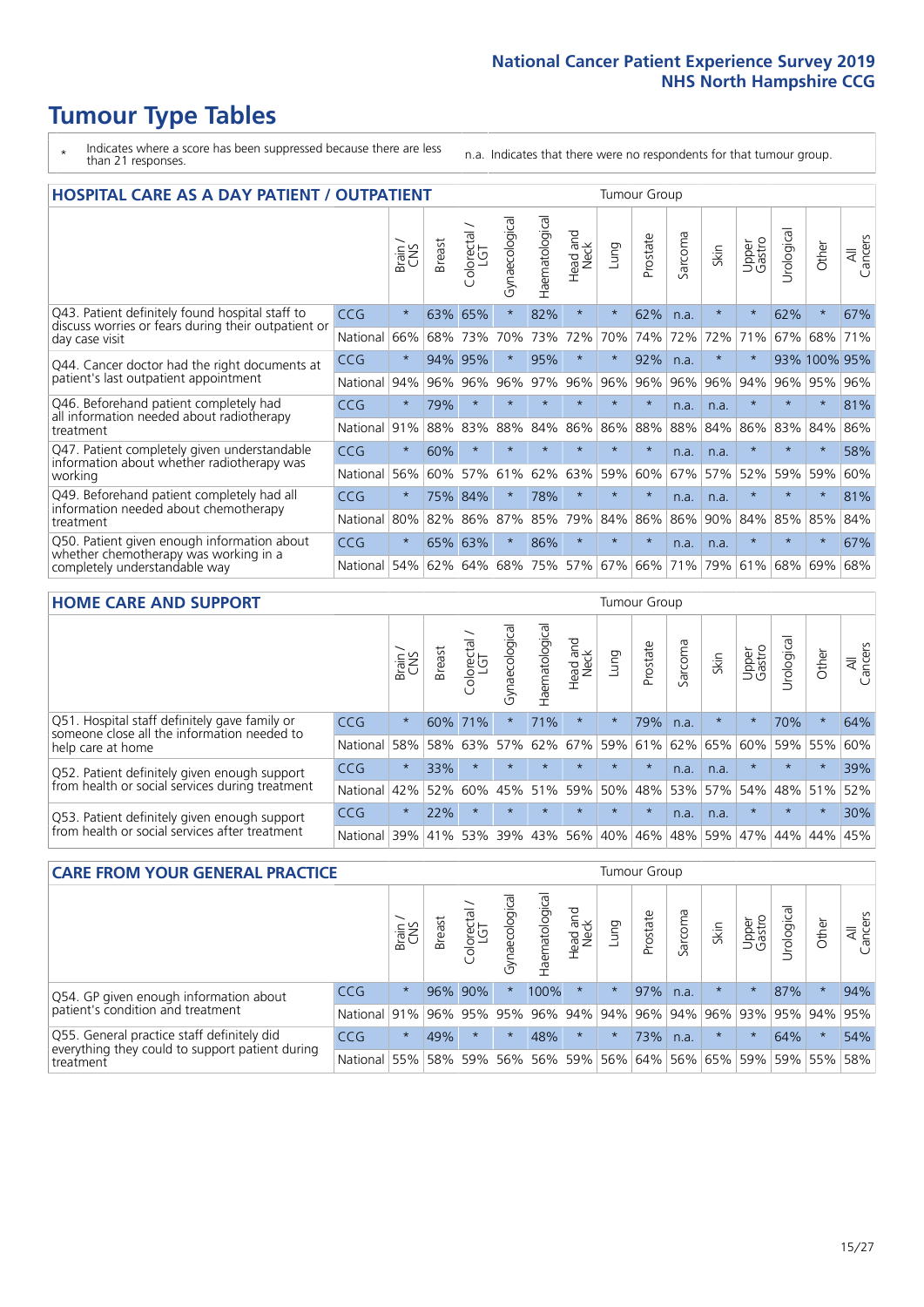# **Tumour Type Tables**

- \* Indicates where a score has been suppressed because there are less than 21 responses.
- n.a. Indicates that there were no respondents for that tumour group.

| <b>HOSPITAL CARE AS A DAY PATIENT / OUTPATIENT</b>                                                                    |            |         |               |                 |                |                |                         |         | <b>Tumour Group</b> |         |         |                 |            |              |                |  |  |  |
|-----------------------------------------------------------------------------------------------------------------------|------------|---------|---------------|-----------------|----------------|----------------|-------------------------|---------|---------------------|---------|---------|-----------------|------------|--------------|----------------|--|--|--|
|                                                                                                                       |            | Brain   | <b>Breast</b> | ∽<br>Colorectal | Gynaecological | Haematological | ead and<br>Neck<br>Head | Lung    | Prostate            | Sarcoma | Skin    | Upper<br>Gastro | Urological | Other        | All<br>Cancers |  |  |  |
| Q43. Patient definitely found hospital staff to                                                                       | <b>CCG</b> | $\star$ | 63%           | 65%             | $\star$        | 82%            | $\star$                 | $\star$ | 62%                 | n.a.    | $\star$ | $\star$         | 62%        | $\star$      | 67%            |  |  |  |
| discuss worries or fears during their outpatient or<br>day case visit                                                 | National   | 66%     | 68%           | 73%             | 70%            | 73%            | 72%                     | 70%     | 74%                 | 72%     | 72%     | 71%             | 67%        | 68%          | 71%            |  |  |  |
| Q44. Cancer doctor had the right documents at<br>patient's last outpatient appointment                                | CCG        | $\star$ | 94%           | 95%             | $\star$        | 95%            | $\star$                 | $\star$ | 92%                 | n.a.    |         | $\star$         |            | 93% 100% 95% |                |  |  |  |
|                                                                                                                       | National   | 94%     | 96%           | 96%             | 96%            | 97%            | 96%                     | 96%     | 96%                 | 96%     | 96%     | 94%             | 96%        | 95%          | 96%            |  |  |  |
| Q46. Beforehand patient completely had                                                                                | <b>CCG</b> | $\star$ | 79%           | $\star$         | $\star$        |                | $\star$                 | $\star$ | $\star$             | n.a.    | n.a.    | $\star$         | $\star$    | $\star$      | 81%            |  |  |  |
| all information needed about radiotherapy<br>treatment                                                                | National   | 91%     | 88%           | 83%             | 88%            | 84%            | 86%                     | 86%     | 88%                 | 88%     | 84%     | 86%             | 83%        | 84%          | 86%            |  |  |  |
| Q47. Patient completely given understandable                                                                          | <b>CCG</b> | $\star$ | 60%           | $\star$         |                |                | $\star$                 | $\star$ | $\star$             | n.a.    | n.a.    | $\star$         | $\star$    | $^\star$     | 58%            |  |  |  |
| information about whether radiotherapy was<br>working                                                                 | National   | 56%     | 60%           | 57%             | 61%            | 62%            | 63%                     | 59%     | 60%                 | 67%     | 57%     | 52%             | 59%        | 59%          | 60%            |  |  |  |
| Q49. Beforehand patient completely had all                                                                            | CCG        | $\star$ | 75%           | 84%             | $\star$        | 78%            | $\star$                 | $\star$ | $\star$             | n.a.    | n.a.    | $\star$         | $\star$    | $\ast$       | 81%            |  |  |  |
| information needed about chemotherapy<br>treatment                                                                    | National   | 80%     | 82%           | 86%             | 87%            | 85%            | 79%                     | 84%     | 86%                 | 86%     | 90%     | 84%             | 85%        | 85%          | 84%            |  |  |  |
| Q50. Patient given enough information about<br>whether chemotherapy was working in a<br>completely understandable way | <b>CCG</b> | $\star$ | 65%           | 63%             | $\star$        | 86%            | $\star$                 | $\star$ | $\star$             | n.a.    | n.a.    | $\star$         |            | $\star$      | 67%            |  |  |  |
|                                                                                                                       | National   | 54%     | 62%           | 64%             | 68%            | 75%            |                         | 57% 67% | 66%                 | 71%     | 79%     | 61%             | 68%        | 69%          | 68%            |  |  |  |

#### **HOME CARE AND SUPPORT** Tumour Group

|                                                                                                                   |            | Brain<br>CNS | <b>Breast</b> | Colorectal<br>LGT | ᠊ᢛ<br>Gynaecologic | Haematological | ad and<br>Neck<br>Head | Lung    | Prostate | Sarcoma | Skin    | Upper<br>Gastro | rological | Other   | All<br>Cancers |
|-------------------------------------------------------------------------------------------------------------------|------------|--------------|---------------|-------------------|--------------------|----------------|------------------------|---------|----------|---------|---------|-----------------|-----------|---------|----------------|
| Q51. Hospital staff definitely gave family or<br>someone close all the information needed to<br>help care at home | <b>CCG</b> | $\star$      | 60%           | 71%               |                    | 71%            | $\ast$                 | $\star$ | 79%      | n.a.    | $\star$ | $\star$         | 70%       | $\ast$  | 64%            |
|                                                                                                                   | National   | 58%          | 58%           | 63%               | 57%                | 62%            | 67%                    | 59%     | 61%      |         | 62% 65% | 60%             | 59% 55%   |         | 60%            |
| Q52. Patient definitely given enough support<br>from health or social services during treatment                   | <b>CCG</b> | $\star$      | 33%           |                   | $\star$            | $\star$        | $\star$                | $\star$ | $\star$  | n.a.    | n.a.    | $\star$         | $\star$   | $\star$ | 39%            |
|                                                                                                                   | National   | 42%          | 52%           | 60%               | 45%                | 51%            | 59%                    | 50%     | 48%      |         | 53% 57% | 54%             | 48% 51%   |         | 52%            |
| Q53. Patient definitely given enough support<br>from health or social services after treatment                    | <b>CCG</b> | $\star$      | 22%           |                   | $\star$            |                | $\star$                | $\star$ | $\star$  | n.a.    | n.a.    | $\star$         | $\star$   | $\star$ | 30%            |
|                                                                                                                   | National   | 39%          | 41% 53%       |                   | 39%                | 43%            | 56%                    | 40%     | 46%      | 48%     | 59%     | 47%             | 44%       | 44%     | 45%            |

| <b>CARE FROM YOUR GENERAL PRACTICE</b>                                                                     |              |               |               |                   | Tumour Group   |                |                  |         |          |         |                         |                 |            |         |                |
|------------------------------------------------------------------------------------------------------------|--------------|---------------|---------------|-------------------|----------------|----------------|------------------|---------|----------|---------|-------------------------|-----------------|------------|---------|----------------|
|                                                                                                            |              | Brain.<br>CNS | <b>Breast</b> | Colorectal<br>LGT | Gynaecological | Haematological | Head and<br>Neck | Lung    | Prostate | Sarcoma | Skin                    | Upper<br>Gastro | Urological | Other   | All<br>Cancers |
| Q54. GP given enough information about<br>patient's condition and treatment                                | <b>CCG</b>   | $\star$       |               | 96% 90%           |                | 100%           | $\star$          | $\star$ | 97%      | n.a.    | $\star$                 | $\star$         | 87%        | $\star$ | 94%            |
|                                                                                                            | National 91% |               |               | 96% 95%           | 95%            |                | 96% 94% 94%      |         |          |         | 96% 94% 96% 93% 95% 94% |                 |            |         | 95%            |
| Q55. General practice staff definitely did<br>everything they could to support patient during<br>treatment | <b>CCG</b>   | $\star$       | 49%           | $\star$           | $\star$        | 48%            | $\star$          | $\star$ | 73%      | n.a.    | $\star$                 | $\star$         | 64%        | $\star$ | 54%            |
|                                                                                                            | National 55% |               |               | 58% 59%           | 56%            |                | 56% 59%          |         | 56% 64%  |         | 56% 65%                 | 59%             |            | 59% 55% | 58%            |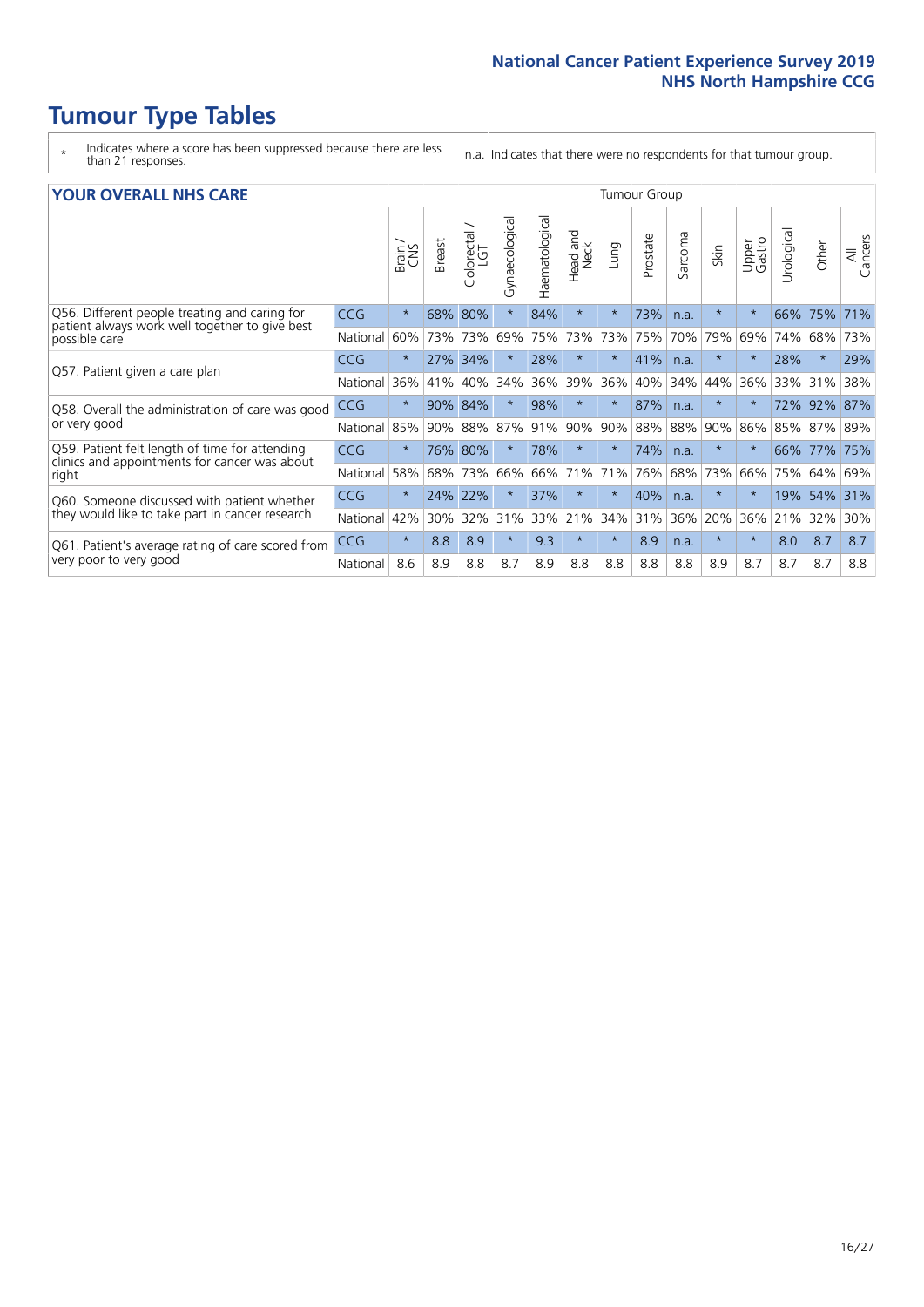- \* Indicates where a score has been suppressed because there are less than 21 responses.
- n.a. Indicates that there were no respondents for that tumour group.

#### **YOUR OVERALL NHS CARE** THE CONSTRUCTION OF THE THROUP GROUP TUMOUR GROUP

| Haematological<br>Gynaecological<br>$\overline{\mathfrak{G}}$<br>olorectal<br>LGT<br>aad and<br>Neck<br>arcoma<br>Prostate<br>All<br>Cancers<br>Upper<br>Gastro<br><b>Breast</b><br>Other<br>Lung<br>Urologia<br>Skin<br>Brain<br>CNS<br>Head<br>$\overline{2}$<br>U<br>$\star$<br>80%<br>$\star$<br>73%<br>CCG<br>68%<br>$\star$<br>84%<br>$\star$<br>75%<br>$\star$<br>$\star$<br>66%<br>71%<br>n.a.<br>patient always work well together to give best<br>73%<br>70%<br>79%<br>60%<br>73%<br>73%<br>75%<br>73%<br>75%<br>69%<br>74%<br>73%<br>National<br>69%<br>68%<br>41%<br><b>CCG</b><br>$\star$<br>34%<br>28%<br>$\ast$<br>$\star$<br>28%<br>$\ast$<br>29%<br>27%<br>$\star$<br>n.a.<br>36%<br>39%<br>36%<br>36%<br>40%<br>34%<br>40%<br>34%<br>44%<br>36%<br>33%<br>31%<br>38%<br>National<br>41%<br>90%<br>84%<br>98%<br>$\ast$<br>87%<br>92%<br>87%<br><b>CCG</b><br>$^\star$<br>$\star$<br>$^\star$<br>72%<br>n.a.<br>88%<br>87%<br>91%<br>90%<br>90%<br>88%<br>90%<br>National<br>85%<br>88%<br>86%<br>85%<br>87%<br>89%<br>90%<br>$\star$<br>80%<br>$\star$<br>CCG<br>76%<br>78%<br>$\star$<br>74%<br>$\star$<br>$\star$<br>$\star$<br>66%<br>77%<br>75%<br>n.a.<br>clinics and appointments for cancer was about<br>58%<br>73%<br>66%<br>71%<br>76%<br>68%<br>73%<br>66%<br>75%<br>64%<br>National<br>68%<br>66%<br>71%<br>69%<br><b>CCG</b><br>$\star$<br>22%<br>37%<br>$\star$<br>40%<br>54%<br>24%<br>$\star$<br>$\ast$<br>19%<br>31%<br>$\star$<br>n.a.<br>33%<br>36%<br>42%<br>30%<br>32%<br>21%<br>34%<br>31%<br>20%<br>36%<br>21%<br>32%<br>30%<br>National<br>31%<br>$\star$<br>$\ast$<br>8.9<br>9.3<br>$\star$<br>8.9<br>$\ast$<br>8.7<br>CCG<br>8.8<br>$\star$<br>$\star$<br>8.0<br>8.7<br>n.a.<br>National<br>8.6<br>8.8<br>8.7<br>8.9<br>8.8<br>8.8<br>8.8<br>8.9<br>8.7<br>8.7<br>8.7<br>8.8<br>8.9<br>8.8 | он отыраны ні <i>р</i> сань                                                 |  |  |  |  |  |  |  |  |  |  |  |  |  |  |  |
|---------------------------------------------------------------------------------------------------------------------------------------------------------------------------------------------------------------------------------------------------------------------------------------------------------------------------------------------------------------------------------------------------------------------------------------------------------------------------------------------------------------------------------------------------------------------------------------------------------------------------------------------------------------------------------------------------------------------------------------------------------------------------------------------------------------------------------------------------------------------------------------------------------------------------------------------------------------------------------------------------------------------------------------------------------------------------------------------------------------------------------------------------------------------------------------------------------------------------------------------------------------------------------------------------------------------------------------------------------------------------------------------------------------------------------------------------------------------------------------------------------------------------------------------------------------------------------------------------------------------------------------------------------------------------------------------------------------------------------------------------------------------------------------------------------------------------------------|-----------------------------------------------------------------------------|--|--|--|--|--|--|--|--|--|--|--|--|--|--|--|
|                                                                                                                                                                                                                                                                                                                                                                                                                                                                                                                                                                                                                                                                                                                                                                                                                                                                                                                                                                                                                                                                                                                                                                                                                                                                                                                                                                                                                                                                                                                                                                                                                                                                                                                                                                                                                                       |                                                                             |  |  |  |  |  |  |  |  |  |  |  |  |  |  |  |
|                                                                                                                                                                                                                                                                                                                                                                                                                                                                                                                                                                                                                                                                                                                                                                                                                                                                                                                                                                                                                                                                                                                                                                                                                                                                                                                                                                                                                                                                                                                                                                                                                                                                                                                                                                                                                                       | Q56. Different people treating and caring for                               |  |  |  |  |  |  |  |  |  |  |  |  |  |  |  |
|                                                                                                                                                                                                                                                                                                                                                                                                                                                                                                                                                                                                                                                                                                                                                                                                                                                                                                                                                                                                                                                                                                                                                                                                                                                                                                                                                                                                                                                                                                                                                                                                                                                                                                                                                                                                                                       | possible care                                                               |  |  |  |  |  |  |  |  |  |  |  |  |  |  |  |
|                                                                                                                                                                                                                                                                                                                                                                                                                                                                                                                                                                                                                                                                                                                                                                                                                                                                                                                                                                                                                                                                                                                                                                                                                                                                                                                                                                                                                                                                                                                                                                                                                                                                                                                                                                                                                                       | Q57. Patient given a care plan                                              |  |  |  |  |  |  |  |  |  |  |  |  |  |  |  |
|                                                                                                                                                                                                                                                                                                                                                                                                                                                                                                                                                                                                                                                                                                                                                                                                                                                                                                                                                                                                                                                                                                                                                                                                                                                                                                                                                                                                                                                                                                                                                                                                                                                                                                                                                                                                                                       |                                                                             |  |  |  |  |  |  |  |  |  |  |  |  |  |  |  |
|                                                                                                                                                                                                                                                                                                                                                                                                                                                                                                                                                                                                                                                                                                                                                                                                                                                                                                                                                                                                                                                                                                                                                                                                                                                                                                                                                                                                                                                                                                                                                                                                                                                                                                                                                                                                                                       | Q58. Overall the administration of care was good                            |  |  |  |  |  |  |  |  |  |  |  |  |  |  |  |
|                                                                                                                                                                                                                                                                                                                                                                                                                                                                                                                                                                                                                                                                                                                                                                                                                                                                                                                                                                                                                                                                                                                                                                                                                                                                                                                                                                                                                                                                                                                                                                                                                                                                                                                                                                                                                                       | or very good                                                                |  |  |  |  |  |  |  |  |  |  |  |  |  |  |  |
|                                                                                                                                                                                                                                                                                                                                                                                                                                                                                                                                                                                                                                                                                                                                                                                                                                                                                                                                                                                                                                                                                                                                                                                                                                                                                                                                                                                                                                                                                                                                                                                                                                                                                                                                                                                                                                       | Q59. Patient felt length of time for attending                              |  |  |  |  |  |  |  |  |  |  |  |  |  |  |  |
|                                                                                                                                                                                                                                                                                                                                                                                                                                                                                                                                                                                                                                                                                                                                                                                                                                                                                                                                                                                                                                                                                                                                                                                                                                                                                                                                                                                                                                                                                                                                                                                                                                                                                                                                                                                                                                       | right                                                                       |  |  |  |  |  |  |  |  |  |  |  |  |  |  |  |
|                                                                                                                                                                                                                                                                                                                                                                                                                                                                                                                                                                                                                                                                                                                                                                                                                                                                                                                                                                                                                                                                                                                                                                                                                                                                                                                                                                                                                                                                                                                                                                                                                                                                                                                                                                                                                                       | Q60. Someone discussed with patient whether                                 |  |  |  |  |  |  |  |  |  |  |  |  |  |  |  |
|                                                                                                                                                                                                                                                                                                                                                                                                                                                                                                                                                                                                                                                                                                                                                                                                                                                                                                                                                                                                                                                                                                                                                                                                                                                                                                                                                                                                                                                                                                                                                                                                                                                                                                                                                                                                                                       | they would like to take part in cancer research                             |  |  |  |  |  |  |  |  |  |  |  |  |  |  |  |
|                                                                                                                                                                                                                                                                                                                                                                                                                                                                                                                                                                                                                                                                                                                                                                                                                                                                                                                                                                                                                                                                                                                                                                                                                                                                                                                                                                                                                                                                                                                                                                                                                                                                                                                                                                                                                                       | Q61. Patient's average rating of care scored from<br>very poor to very good |  |  |  |  |  |  |  |  |  |  |  |  |  |  |  |
|                                                                                                                                                                                                                                                                                                                                                                                                                                                                                                                                                                                                                                                                                                                                                                                                                                                                                                                                                                                                                                                                                                                                                                                                                                                                                                                                                                                                                                                                                                                                                                                                                                                                                                                                                                                                                                       |                                                                             |  |  |  |  |  |  |  |  |  |  |  |  |  |  |  |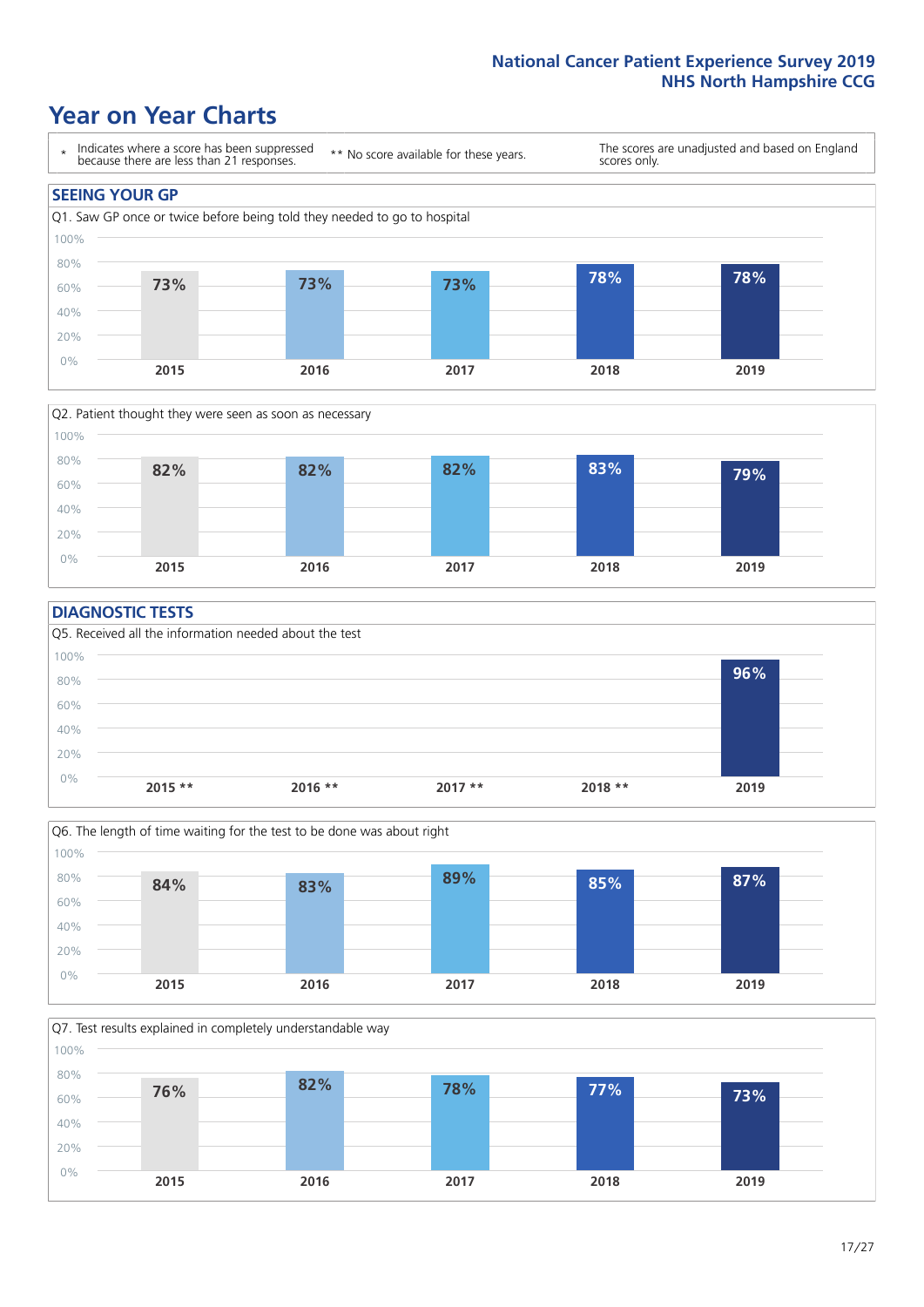### **Year on Year Charts**





#### **DIAGNOSTIC TESTS**





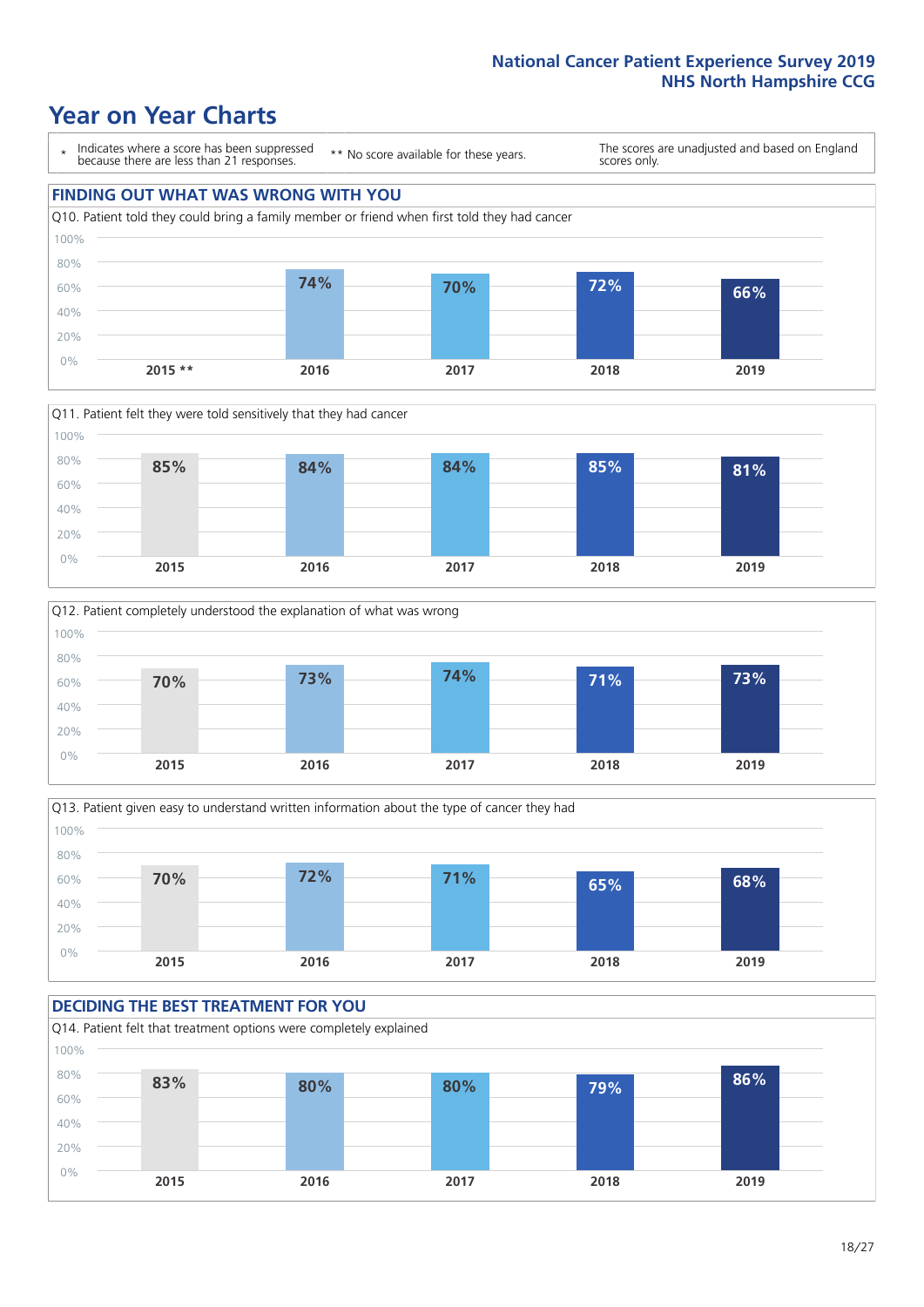### **Year on Year Charts**

\* Indicates where a score has been suppressed because there are less than 21 responses. \*\* No score available for these years. The scores are unadjusted and based on England scores only. **FINDING OUT WHAT WAS WRONG WITH YOU** Q10. Patient told they could bring a family member or friend when first told they had cancer 0% 20% 40% 60% 80% 100% **2015 \*\* 2016 2017 2018 2019 74% 70% 72% 66%**







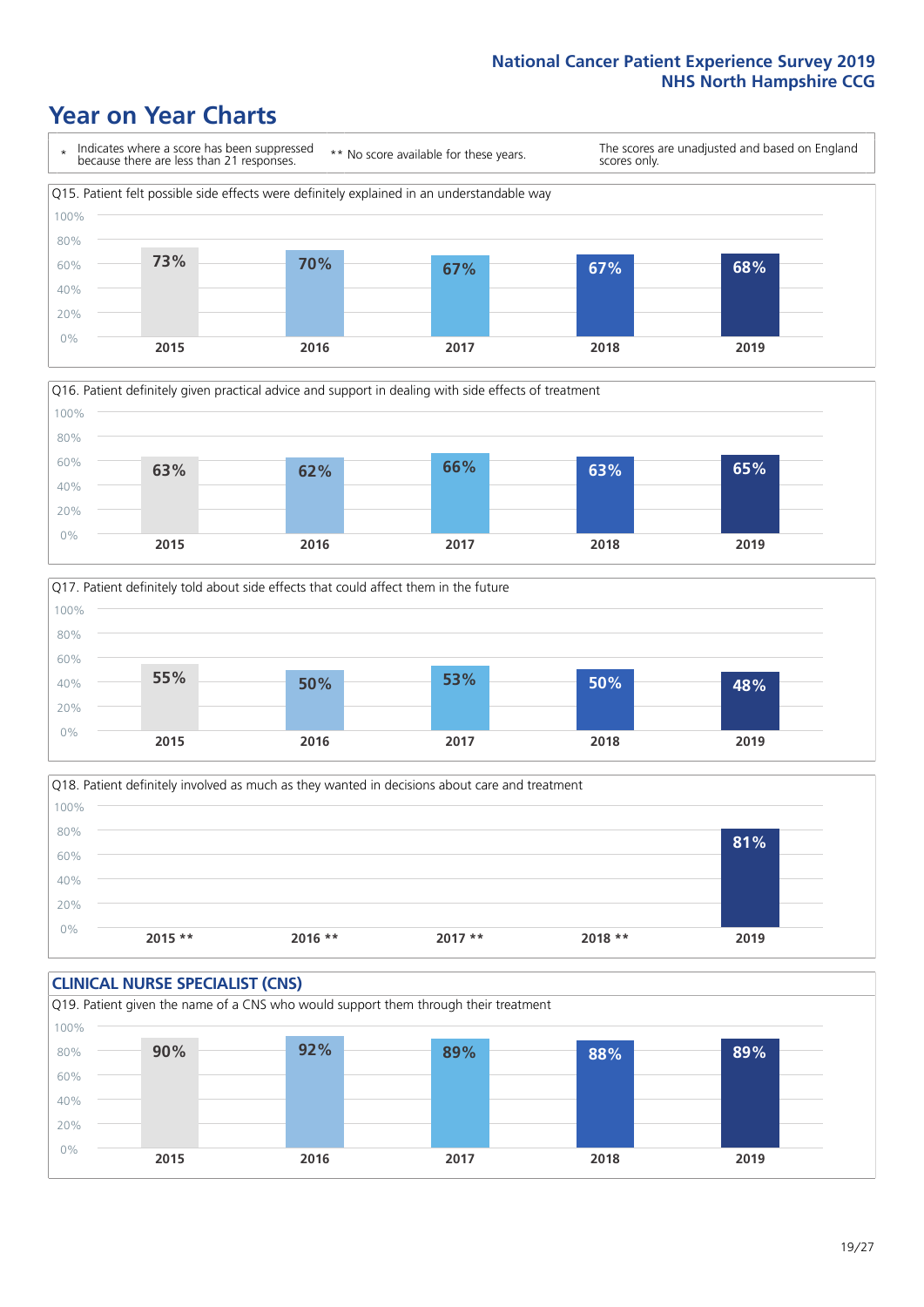### **Year on Year Charts**







Q18. Patient definitely involved as much as they wanted in decisions about care and treatment  $0%$ 20% 40% 60% 80% 100% **2015 \*\* 2016 \*\* 2017 \*\* 2018 \*\* 2019 81%**

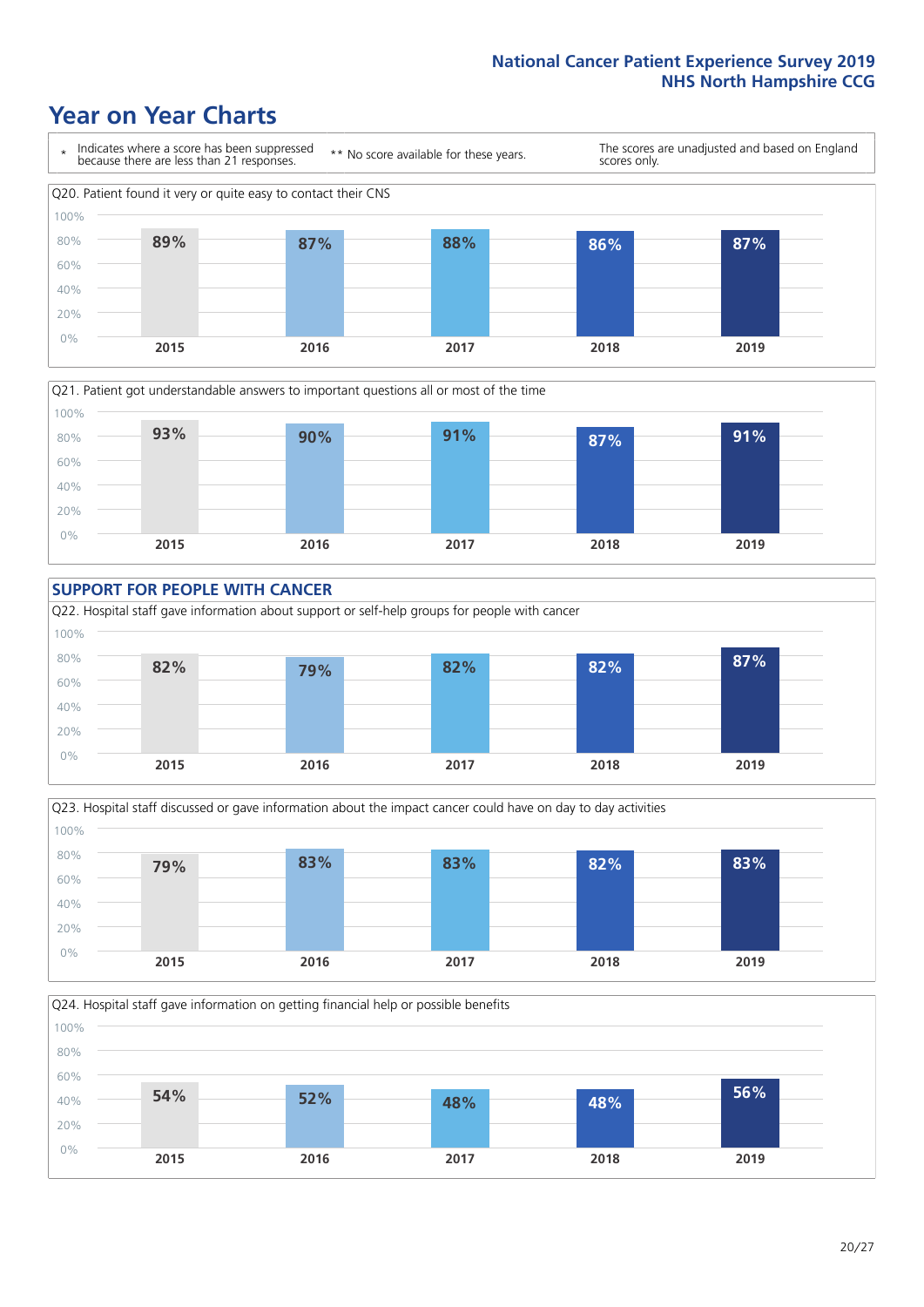### **Year on Year Charts**









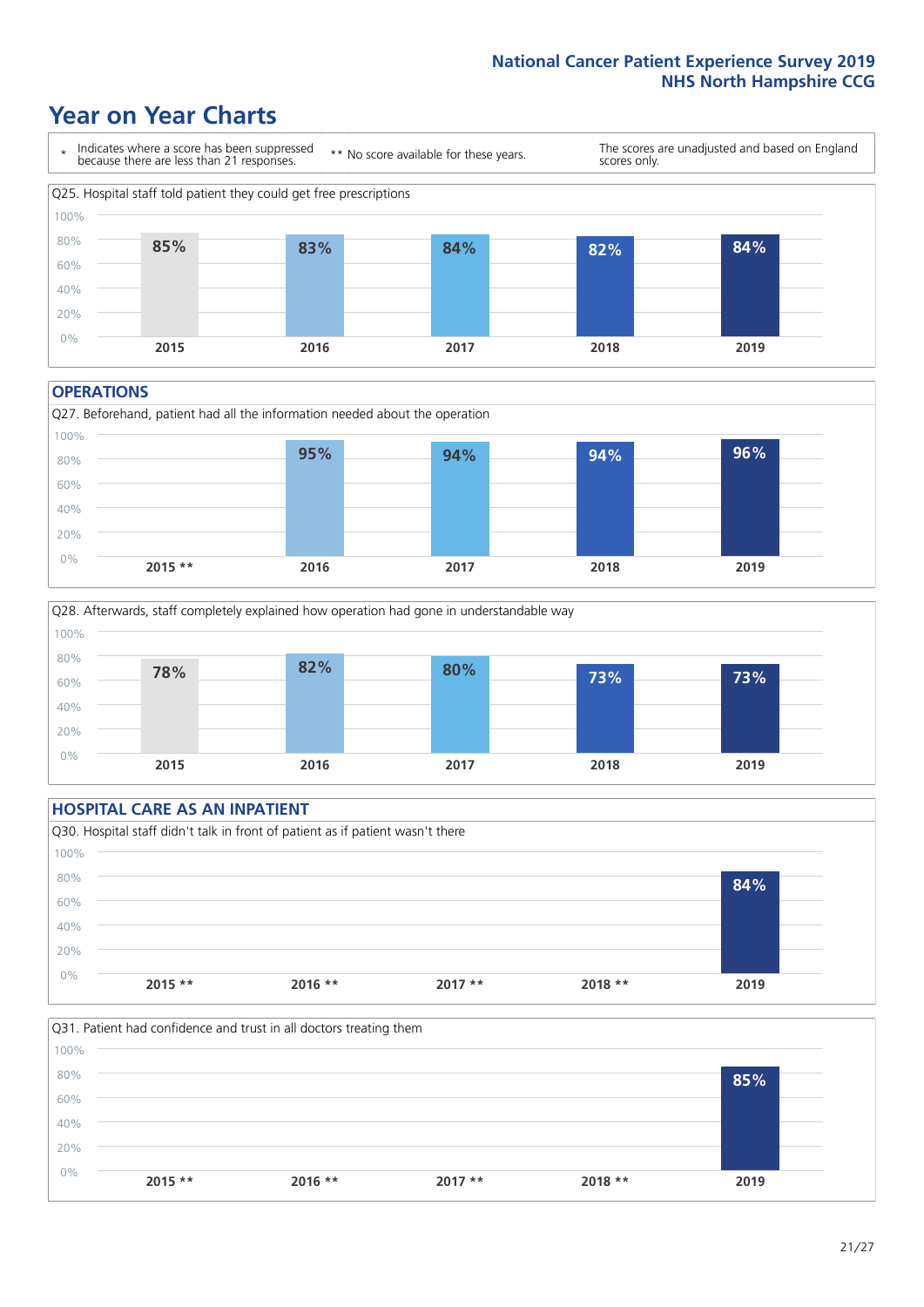### **Year on Year Charts**



#### **OPERATIONS**





#### **HOSPITAL CARE AS AN INPATIENT** Q30. Hospital staff didn't talk in front of patient as if patient wasn't there 0% 20% 40% 60% 80% 100% **2015 \*\* 2016 \*\* 2017 \*\* 2018 \*\* 2019 84%**

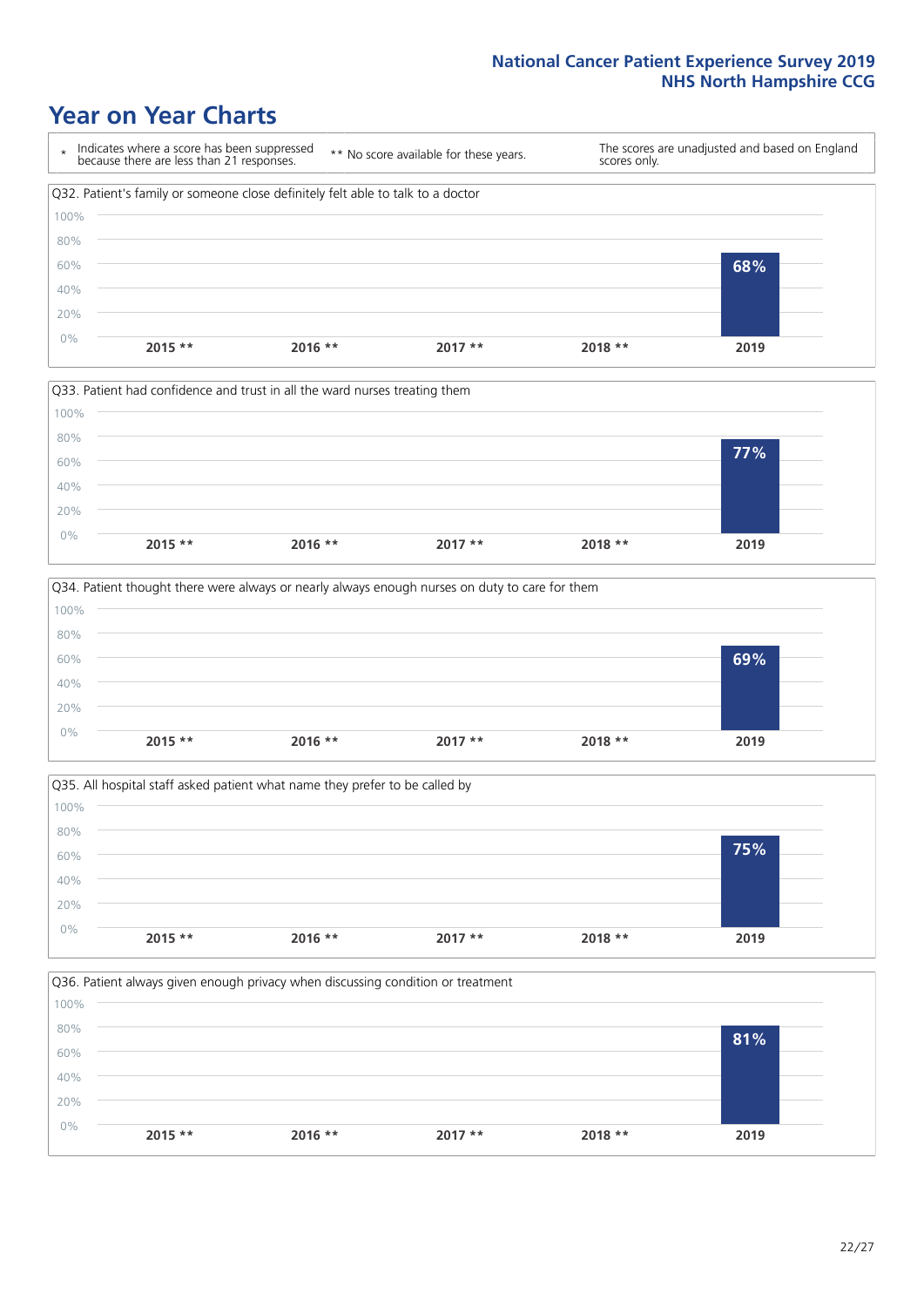### **Year on Year Charts**









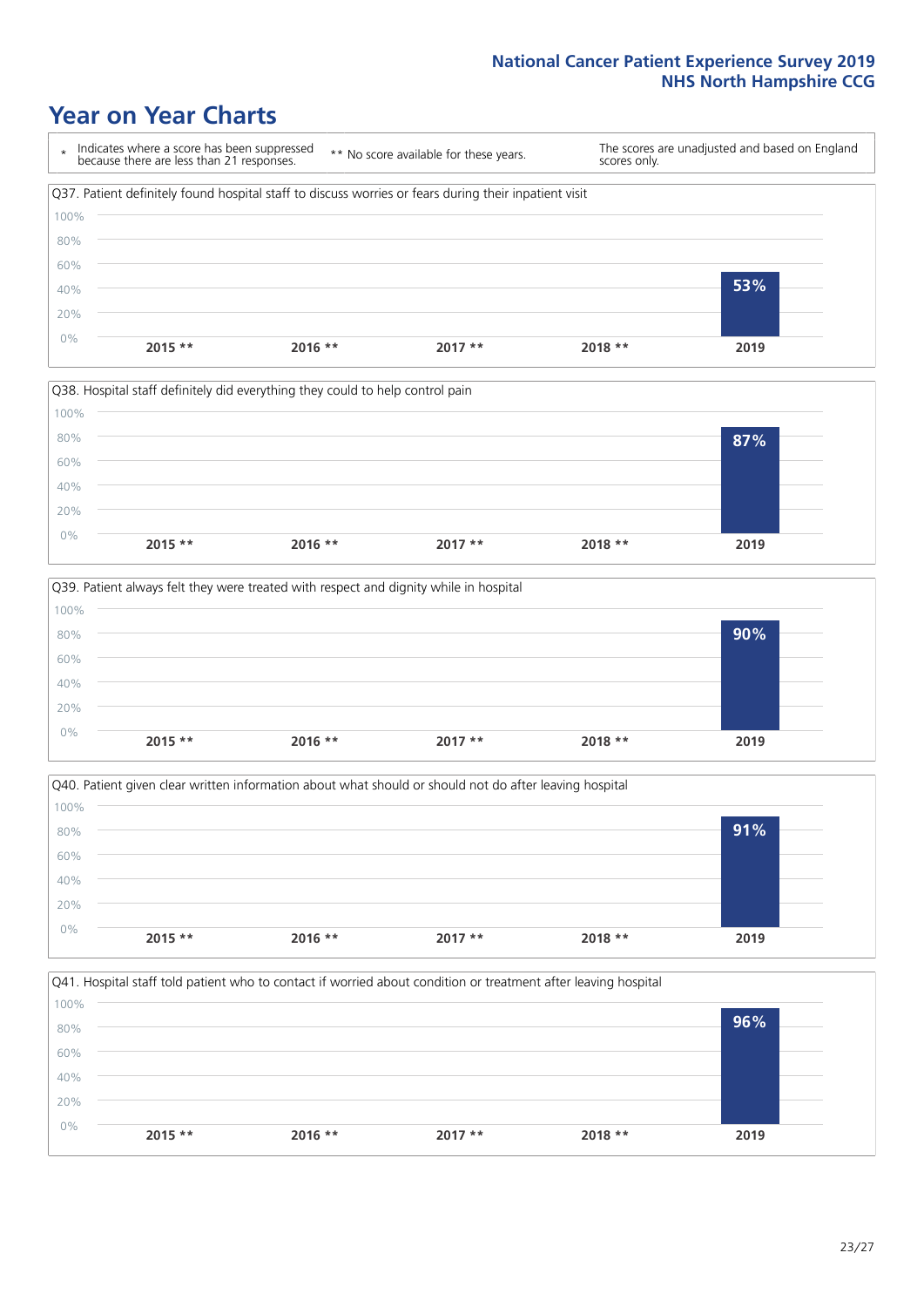### **Year on Year Charts**









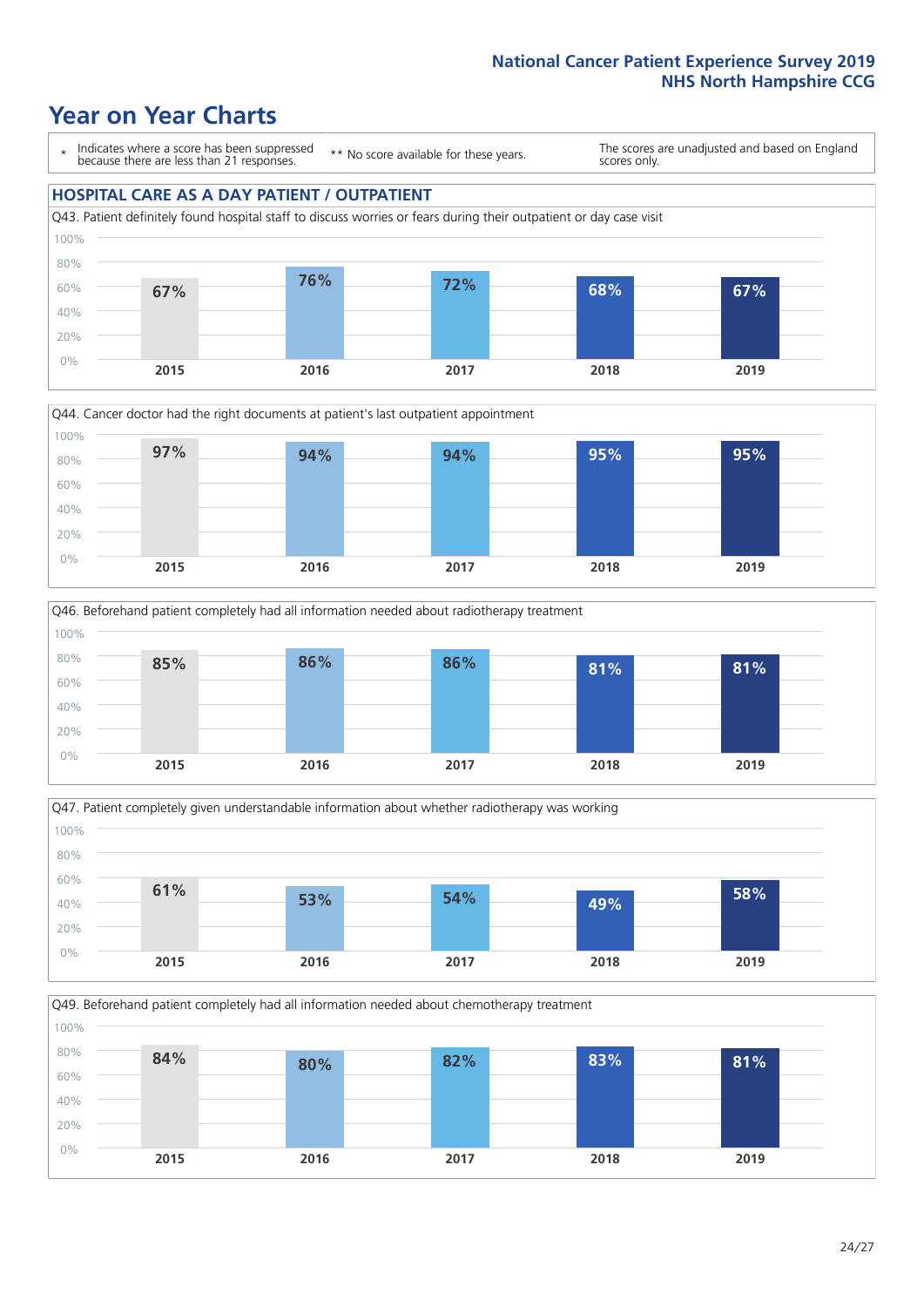### **Year on Year Charts**

\* Indicates where a score has been suppressed because there are less than 21 responses.

\*\* No score available for these years.

The scores are unadjusted and based on England scores only.

#### **HOSPITAL CARE AS A DAY PATIENT / OUTPATIENT**









Q49. Beforehand patient completely had all information needed about chemotherapy treatment

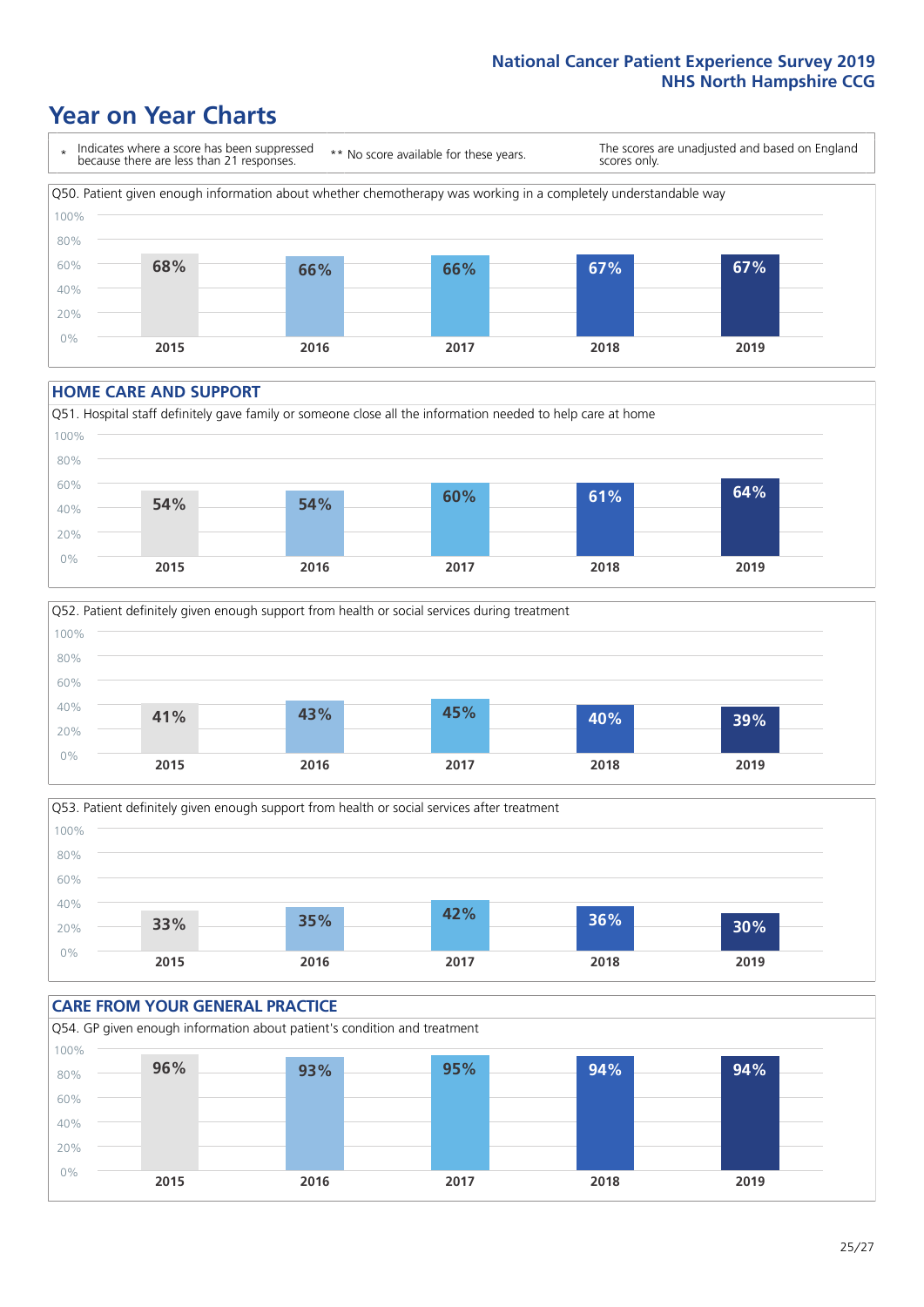### **Year on Year Charts**



#### **HOME CARE AND SUPPORT**







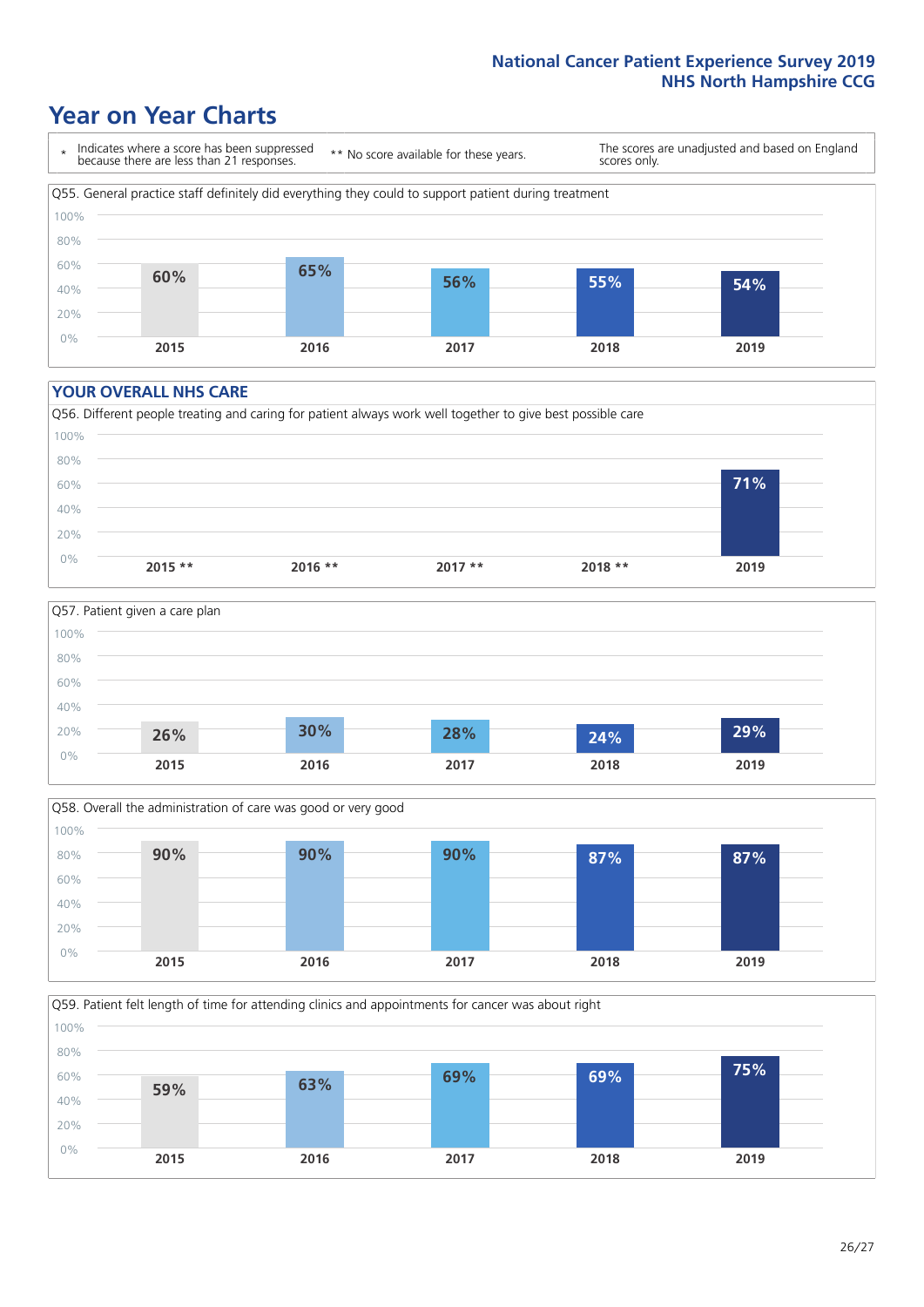### **Year on Year Charts**

\* Indicates where a score has been suppressed because there are less than 21 responses.

\*\* No score available for these years.

The scores are unadjusted and based on England scores only.



#### **YOUR OVERALL NHS CARE**







Q59. Patient felt length of time for attending clinics and appointments for cancer was about right